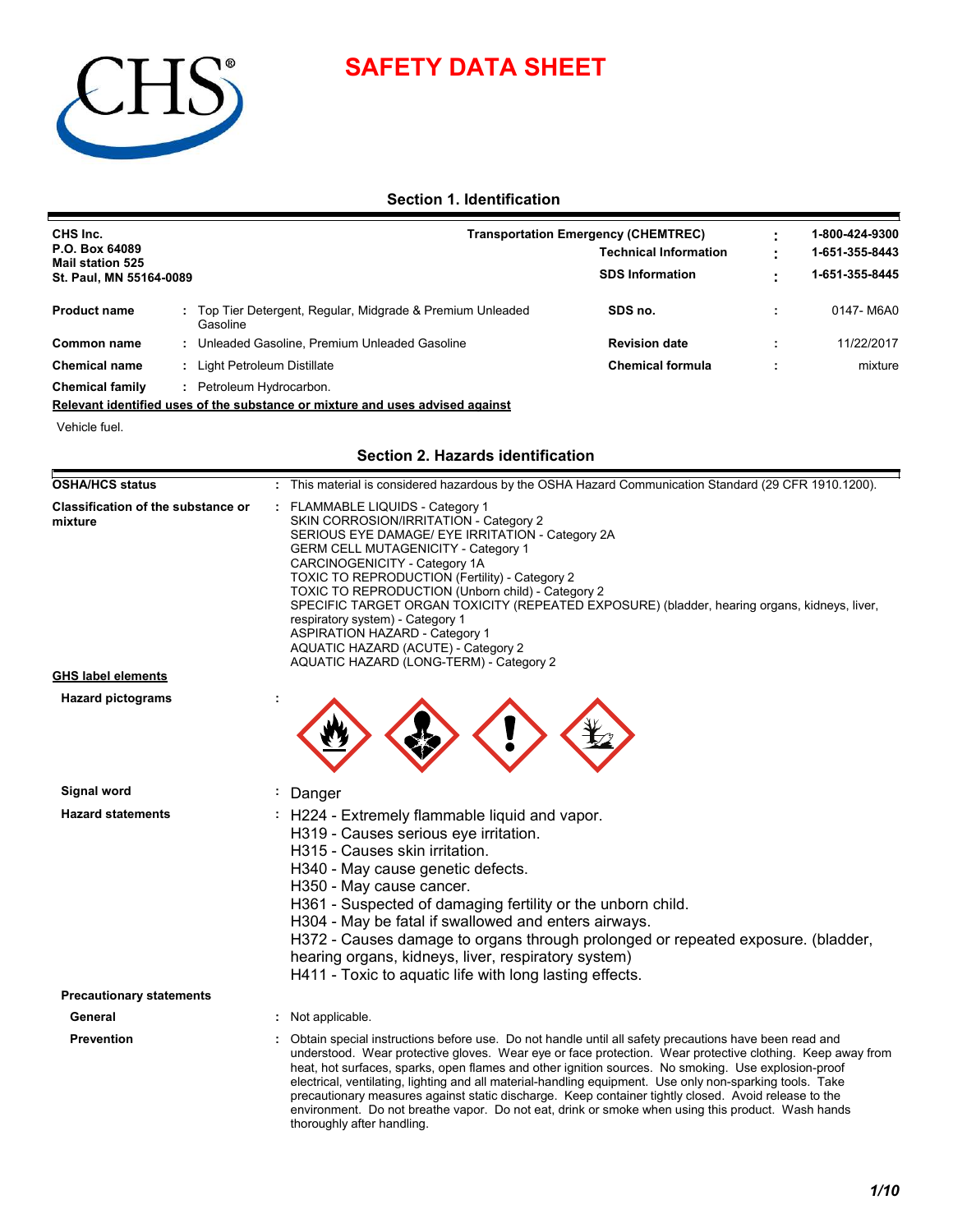## **SAFETY DATA SHEET**



### **Section 1. Identification**

| CHS Inc.                                  |                                                                      | Transportation Emergency (CHEMTREC) |  |                |  |  |
|-------------------------------------------|----------------------------------------------------------------------|-------------------------------------|--|----------------|--|--|
| P.O. Box 64089<br><b>Mail station 525</b> |                                                                      | <b>Technical Information</b>        |  | 1-651-355-8443 |  |  |
| St. Paul, MN 55164-0089                   |                                                                      | <b>SDS Information</b>              |  | 1-651-355-8445 |  |  |
| <b>Product name</b>                       | Top Tier Detergent, Regular, Midgrade & Premium Unleaded<br>Gasoline | SDS no.                             |  | 0147-M6A0      |  |  |
| Common name                               | Unleaded Gasoline, Premium Unleaded Gasoline                         | <b>Revision date</b>                |  | 11/22/2017     |  |  |
| <b>Chemical name</b>                      | Light Petroleum Distillate                                           | <b>Chemical formula</b>             |  | mixture        |  |  |
| <b>Chemical family</b>                    | Petroleum Hydrocarbon.                                               |                                     |  |                |  |  |

### **Relevant identified uses of the substance or mixture and uses advised against**

Vehicle fuel.

### **Section 2. Hazards identification**

| <b>OSHA/HCS status</b>                               | : This material is considered hazardous by the OSHA Hazard Communication Standard (29 CFR 1910.1200).                                                                                                                                                                                                                                                                                                                                                                                                                                                                                                                                              |  |
|------------------------------------------------------|----------------------------------------------------------------------------------------------------------------------------------------------------------------------------------------------------------------------------------------------------------------------------------------------------------------------------------------------------------------------------------------------------------------------------------------------------------------------------------------------------------------------------------------------------------------------------------------------------------------------------------------------------|--|
| <b>Classification of the substance or</b><br>mixture | FLAMMABLE LIQUIDS - Category 1<br>SKIN CORROSION/IRRITATION - Category 2<br>SERIOUS EYE DAMAGE/ EYE IRRITATION - Category 2A<br><b>GERM CELL MUTAGENICITY - Category 1</b><br>CARCINOGENICITY - Category 1A<br><b>TOXIC TO REPRODUCTION (Fertility) - Category 2</b><br>TOXIC TO REPRODUCTION (Unborn child) - Category 2<br>SPECIFIC TARGET ORGAN TOXICITY (REPEATED EXPOSURE) (bladder, hearing organs, kidneys, liver,<br>respiratory system) - Category 1<br><b>ASPIRATION HAZARD - Category 1</b><br>AQUATIC HAZARD (ACUTE) - Category 2<br>AQUATIC HAZARD (LONG-TERM) - Category 2                                                           |  |
| <b>GHS label elements</b>                            |                                                                                                                                                                                                                                                                                                                                                                                                                                                                                                                                                                                                                                                    |  |
| <b>Hazard pictograms</b>                             |                                                                                                                                                                                                                                                                                                                                                                                                                                                                                                                                                                                                                                                    |  |
| Signal word                                          | : Danger                                                                                                                                                                                                                                                                                                                                                                                                                                                                                                                                                                                                                                           |  |
| <b>Hazard statements</b>                             | : H224 - Extremely flammable liquid and vapor.<br>H319 - Causes serious eye irritation.<br>H315 - Causes skin irritation.<br>H340 - May cause genetic defects.<br>H350 - May cause cancer.<br>H361 - Suspected of damaging fertility or the unborn child.<br>H304 - May be fatal if swallowed and enters airways.<br>H372 - Causes damage to organs through prolonged or repeated exposure. (bladder,<br>hearing organs, kidneys, liver, respiratory system)<br>H411 - Toxic to aquatic life with long lasting effects.                                                                                                                            |  |
| <b>Precautionary statements</b>                      |                                                                                                                                                                                                                                                                                                                                                                                                                                                                                                                                                                                                                                                    |  |
| General                                              | : Not applicable.                                                                                                                                                                                                                                                                                                                                                                                                                                                                                                                                                                                                                                  |  |
| <b>Prevention</b>                                    | Obtain special instructions before use. Do not handle until all safety precautions have been read and<br>understood. Wear protective gloves. Wear eye or face protection. Wear protective clothing. Keep away from<br>heat, hot surfaces, sparks, open flames and other ignition sources. No smoking. Use explosion-proof<br>electrical, ventilating, lighting and all material-handling equipment. Use only non-sparking tools. Take<br>precautionary measures against static discharge. Keep container tightly closed. Avoid release to the<br>environment. Do not breathe vapor. Do not eat, drink or smoke when using this product. Wash hands |  |

thoroughly after handling.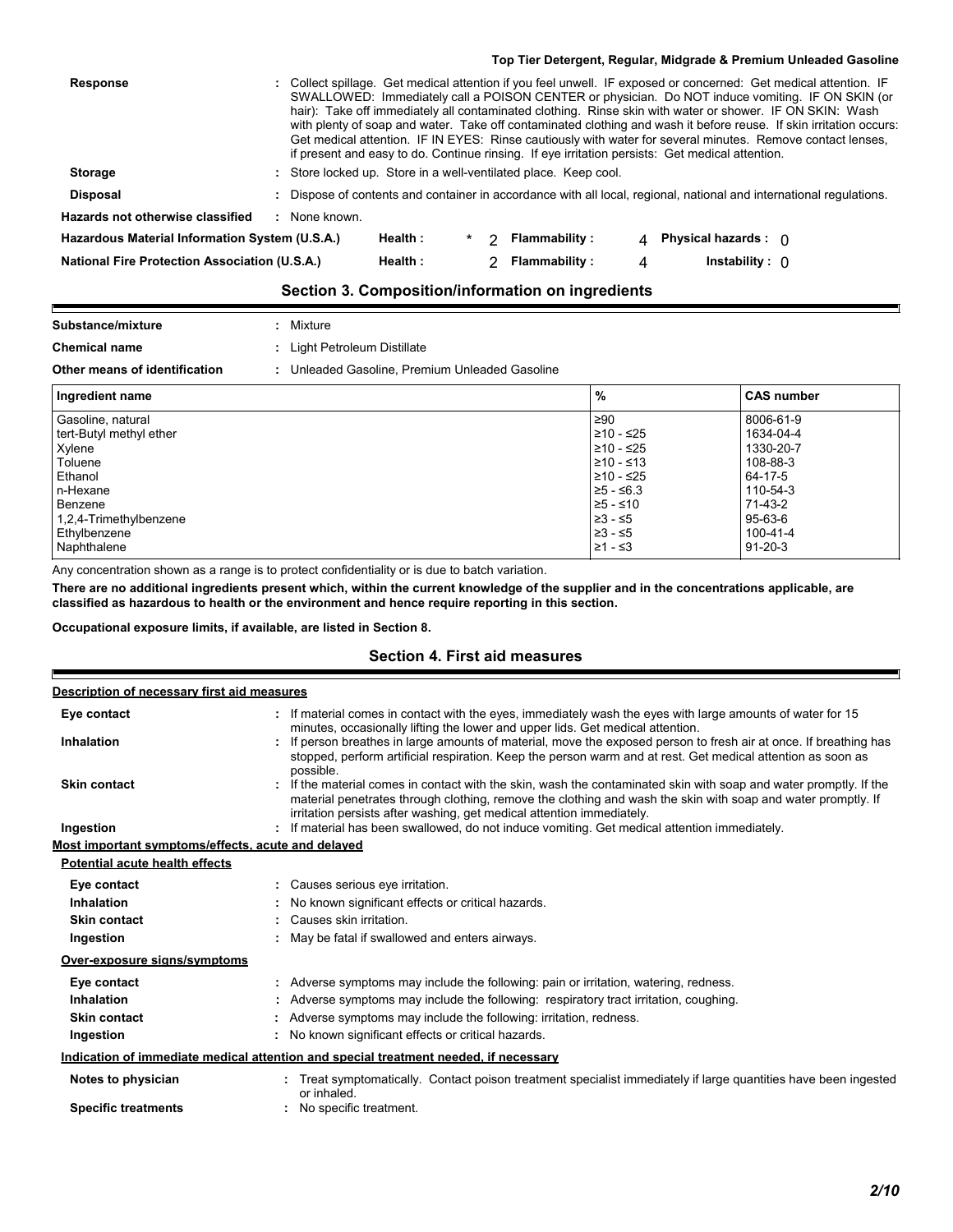|                                                      |               |         |   |                                                                 |   | Top Tier Detergent, Regular, Midgrade & Premium Unleaded Gasoline                                                                                                                                                                                                                                                                                                                                                                                                                                                                                                                                                                                                       |
|------------------------------------------------------|---------------|---------|---|-----------------------------------------------------------------|---|-------------------------------------------------------------------------------------------------------------------------------------------------------------------------------------------------------------------------------------------------------------------------------------------------------------------------------------------------------------------------------------------------------------------------------------------------------------------------------------------------------------------------------------------------------------------------------------------------------------------------------------------------------------------------|
| <b>Response</b>                                      |               |         |   |                                                                 |   | : Collect spillage. Get medical attention if you feel unwell. IF exposed or concerned: Get medical attention. IF<br>SWALLOWED: Immediately call a POISON CENTER or physician. Do NOT induce vomiting. IF ON SKIN (or<br>hair): Take off immediately all contaminated clothing. Rinse skin with water or shower. IF ON SKIN: Wash<br>with plenty of soap and water. Take off contaminated clothing and wash it before reuse. If skin irritation occurs:<br>Get medical attention. IF IN EYES: Rinse cautiously with water for several minutes. Remove contact lenses,<br>if present and easy to do. Continue rinsing. If eye irritation persists: Get medical attention. |
| <b>Storage</b>                                       |               |         |   | : Store locked up. Store in a well-ventilated place. Keep cool. |   |                                                                                                                                                                                                                                                                                                                                                                                                                                                                                                                                                                                                                                                                         |
| Disposal                                             |               |         |   |                                                                 |   | : Dispose of contents and container in accordance with all local, regional, national and international regulations.                                                                                                                                                                                                                                                                                                                                                                                                                                                                                                                                                     |
| <b>Hazards not otherwise classified</b>              | : None known. |         |   |                                                                 |   |                                                                                                                                                                                                                                                                                                                                                                                                                                                                                                                                                                                                                                                                         |
| Hazardous Material Information System (U.S.A.)       |               | Health: | າ | <b>Flammability:</b>                                            | 4 | Physical hazards : $\cap$                                                                                                                                                                                                                                                                                                                                                                                                                                                                                                                                                                                                                                               |
| <b>National Fire Protection Association (U.S.A.)</b> |               | Health: |   | <b>Flammability:</b>                                            | 4 | Instability: $\cap$                                                                                                                                                                                                                                                                                                                                                                                                                                                                                                                                                                                                                                                     |
|                                                      |               |         |   | Section 3. Composition/information on ingredients               |   |                                                                                                                                                                                                                                                                                                                                                                                                                                                                                                                                                                                                                                                                         |

### **Substance/mixture :** Mixture

| <b>Chemical name</b>          | : Light Petroleum Distillate                   |
|-------------------------------|------------------------------------------------|
| Other means of identification | : Unleaded Gasoline. Premium Unleaded Gasoline |

 $\overline{\phantom{a}}$ 

Е

| Ingredient name           | %           | <b>CAS number</b> |
|---------------------------|-------------|-------------------|
| Gasoline, natural         | ≥90         | 8006-61-9         |
| tert-Butyl methyl ether   | 210 - ≤25   | 1634-04-4         |
| Xylene                    | ≥10 - ≤25   | 1330-20-7         |
| Toluene                   | 1≥10 - ≤13  | 108-88-3          |
| Ethanol                   | 1210 - ≤25  | 64-17-5           |
| n-Hexane                  | $≥5 - ≤6.3$ | 110-54-3          |
| Benzene                   | -≥5 - ≤10   | 71-43-2           |
| $1,2,4$ -Trimethylbenzene | ≥3 - ≤5     | 95-63-6           |
| Ethylbenzene              | ≥3 - ≤5     | 100-41-4          |
| Naphthalene               | 21 - ≤3     | $91 - 20 - 3$     |

Any concentration shown as a range is to protect confidentiality or is due to batch variation.

**There are no additional ingredients present which, within the current knowledge of the supplier and in the concentrations applicable, are classified as hazardous to health or the environment and hence require reporting in this section.**

**Occupational exposure limits, if available, are listed in Section 8.**

### **Section 4. First aid measures**

| Description of necessary first aid measures        |                                                                                                                                                                                                                                                                                                            |
|----------------------------------------------------|------------------------------------------------------------------------------------------------------------------------------------------------------------------------------------------------------------------------------------------------------------------------------------------------------------|
| Eye contact                                        | If material comes in contact with the eyes, immediately wash the eyes with large amounts of water for 15<br>minutes, occasionally lifting the lower and upper lids. Get medical attention.                                                                                                                 |
| <b>Inhalation</b>                                  | : If person breathes in large amounts of material, move the exposed person to fresh air at once. If breathing has<br>stopped, perform artificial respiration. Keep the person warm and at rest. Get medical attention as soon as<br>possible.                                                              |
| <b>Skin contact</b>                                | : If the material comes in contact with the skin, wash the contaminated skin with soap and water promptly. If the<br>material penetrates through clothing, remove the clothing and wash the skin with soap and water promptly. If<br>irritation persists after washing, get medical attention immediately. |
| Ingestion                                          | : If material has been swallowed, do not induce vomiting. Get medical attention immediately.                                                                                                                                                                                                               |
| Most important symptoms/effects, acute and delayed |                                                                                                                                                                                                                                                                                                            |
| Potential acute health effects                     |                                                                                                                                                                                                                                                                                                            |
| Eye contact                                        | : Causes serious eye irritation.                                                                                                                                                                                                                                                                           |
| Inhalation                                         | No known significant effects or critical hazards.                                                                                                                                                                                                                                                          |
| <b>Skin contact</b>                                | : Causes skin irritation.                                                                                                                                                                                                                                                                                  |
| Ingestion                                          | : May be fatal if swallowed and enters airways.                                                                                                                                                                                                                                                            |
| Over-exposure signs/symptoms                       |                                                                                                                                                                                                                                                                                                            |
| Eye contact                                        | : Adverse symptoms may include the following: pain or irritation, watering, redness.                                                                                                                                                                                                                       |
| Inhalation                                         | Adverse symptoms may include the following: respiratory tract irritation, coughing.                                                                                                                                                                                                                        |
| <b>Skin contact</b>                                | Adverse symptoms may include the following: irritation, redness.                                                                                                                                                                                                                                           |
| Ingestion                                          | : No known significant effects or critical hazards.                                                                                                                                                                                                                                                        |
|                                                    | Indication of immediate medical attention and special treatment needed, if necessary                                                                                                                                                                                                                       |
| Notes to physician                                 | Treat symptomatically. Contact poison treatment specialist immediately if large quantities have been ingested<br>or inhaled.                                                                                                                                                                               |
| <b>Specific treatments</b>                         | No specific treatment.                                                                                                                                                                                                                                                                                     |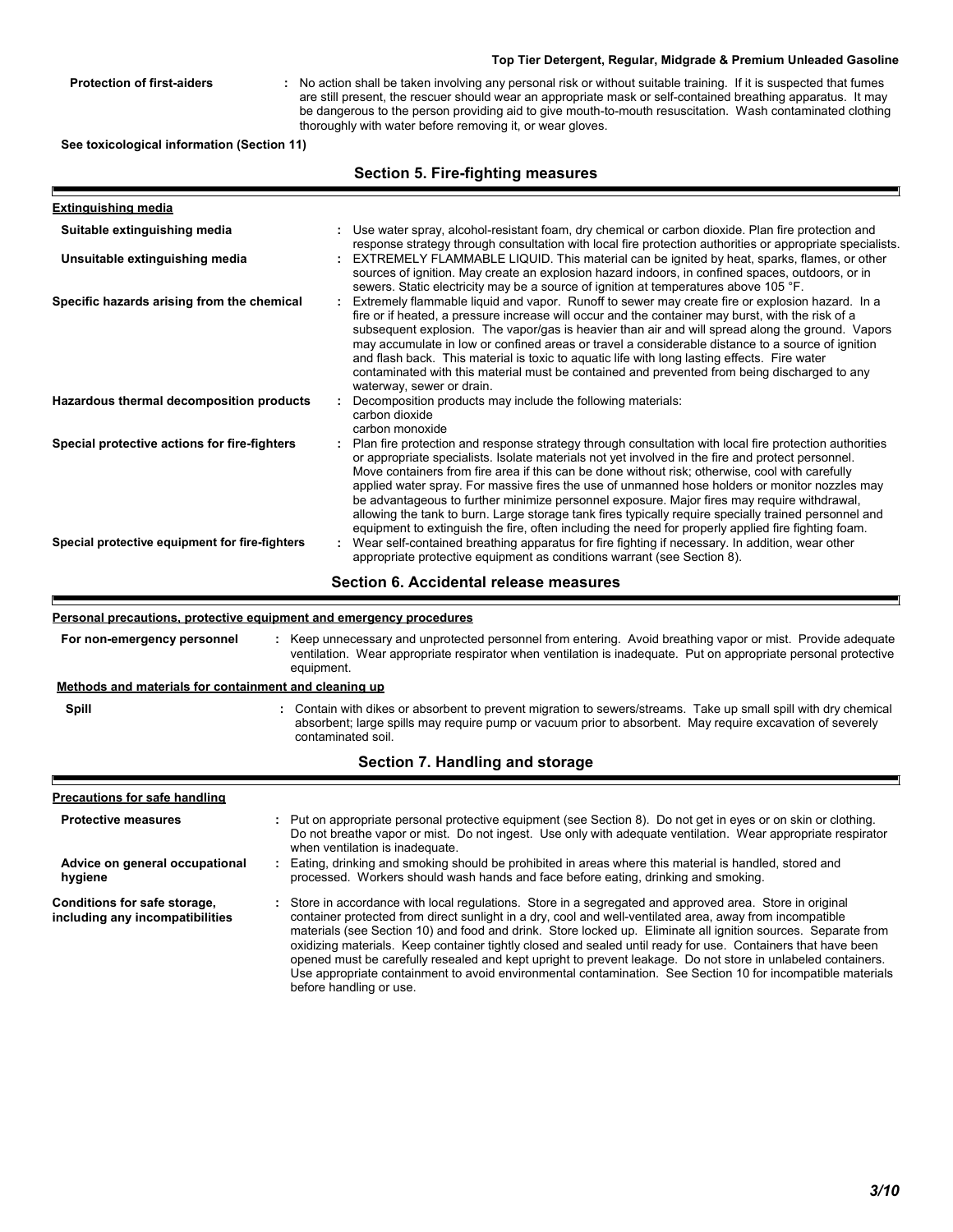**Protection of first-aiders :** No action shall be taken involving any personal risk or without suitable training. If it is suspected that fumes are still present, the rescuer should wear an appropriate mask or self-contained breathing apparatus. It may be dangerous to the person providing aid to give mouth-to-mouth resuscitation. Wash contaminated clothing thoroughly with water before removing it, or wear gloves.

**See toxicological information (Section 11)**

|                                                                                                | <b>Section 5. Fire-fighting measures</b>                                                                                                                                                                                                                                                                                                                                                                                                                                                                                                                                                                                                                                                                                                                                                                                                                                                                        |
|------------------------------------------------------------------------------------------------|-----------------------------------------------------------------------------------------------------------------------------------------------------------------------------------------------------------------------------------------------------------------------------------------------------------------------------------------------------------------------------------------------------------------------------------------------------------------------------------------------------------------------------------------------------------------------------------------------------------------------------------------------------------------------------------------------------------------------------------------------------------------------------------------------------------------------------------------------------------------------------------------------------------------|
| <b>Extinguishing media</b>                                                                     |                                                                                                                                                                                                                                                                                                                                                                                                                                                                                                                                                                                                                                                                                                                                                                                                                                                                                                                 |
| Suitable extinguishing media                                                                   | : Use water spray, alcohol-resistant foam, dry chemical or carbon dioxide. Plan fire protection and<br>response strategy through consultation with local fire protection authorities or appropriate specialists.                                                                                                                                                                                                                                                                                                                                                                                                                                                                                                                                                                                                                                                                                                |
| Unsuitable extinguishing media                                                                 | EXTREMELY FLAMMABLE LIQUID. This material can be ignited by heat, sparks, flames, or other<br>sources of ignition. May create an explosion hazard indoors, in confined spaces, outdoors, or in<br>sewers. Static electricity may be a source of ignition at temperatures above 105 °F.                                                                                                                                                                                                                                                                                                                                                                                                                                                                                                                                                                                                                          |
| Specific hazards arising from the chemical                                                     | Extremely flammable liquid and vapor. Runoff to sewer may create fire or explosion hazard. In a<br>fire or if heated, a pressure increase will occur and the container may burst, with the risk of a<br>subsequent explosion. The vapor/gas is heavier than air and will spread along the ground. Vapors<br>may accumulate in low or confined areas or travel a considerable distance to a source of ignition<br>and flash back. This material is toxic to aquatic life with long lasting effects. Fire water<br>contaminated with this material must be contained and prevented from being discharged to any<br>waterway, sewer or drain.                                                                                                                                                                                                                                                                      |
| Hazardous thermal decomposition products                                                       | Decomposition products may include the following materials:<br>carbon dioxide<br>carbon monoxide                                                                                                                                                                                                                                                                                                                                                                                                                                                                                                                                                                                                                                                                                                                                                                                                                |
| Special protective actions for fire-fighters<br>Special protective equipment for fire-fighters | Plan fire protection and response strategy through consultation with local fire protection authorities<br>or appropriate specialists. Isolate materials not yet involved in the fire and protect personnel.<br>Move containers from fire area if this can be done without risk; otherwise, cool with carefully<br>applied water spray. For massive fires the use of unmanned hose holders or monitor nozzles may<br>be advantageous to further minimize personnel exposure. Major fires may require withdrawal,<br>allowing the tank to burn. Large storage tank fires typically require specially trained personnel and<br>equipment to extinguish the fire, often including the need for properly applied fire fighting foam.<br>: Wear self-contained breathing apparatus for fire fighting if necessary. In addition, wear other<br>appropriate protective equipment as conditions warrant (see Section 8). |
|                                                                                                | Section 6. Accidental release measures                                                                                                                                                                                                                                                                                                                                                                                                                                                                                                                                                                                                                                                                                                                                                                                                                                                                          |

#### **Personal precautions, protective equipment and emergency procedures**

|                                                                 | <u>r ersonar precaduons, protective equipment and emergency procedures</u>                                                                                                                                                                                                                                                                                                                                                                                                                                                                                                                                                                                                           |
|-----------------------------------------------------------------|--------------------------------------------------------------------------------------------------------------------------------------------------------------------------------------------------------------------------------------------------------------------------------------------------------------------------------------------------------------------------------------------------------------------------------------------------------------------------------------------------------------------------------------------------------------------------------------------------------------------------------------------------------------------------------------|
| For non-emergency personnel                                     | : Keep unnecessary and unprotected personnel from entering. Avoid breathing vapor or mist. Provide adequate<br>ventilation. Wear appropriate respirator when ventilation is inadequate. Put on appropriate personal protective<br>equipment.                                                                                                                                                                                                                                                                                                                                                                                                                                         |
| <u>Methods and materials for containment and cleaning up</u>    |                                                                                                                                                                                                                                                                                                                                                                                                                                                                                                                                                                                                                                                                                      |
| Spill                                                           | : Contain with dikes or absorbent to prevent migration to sewers/streams. Take up small spill with dry chemical<br>absorbent; large spills may require pump or vacuum prior to absorbent. May require excavation of severely<br>contaminated soil.                                                                                                                                                                                                                                                                                                                                                                                                                                   |
|                                                                 | Section 7. Handling and storage                                                                                                                                                                                                                                                                                                                                                                                                                                                                                                                                                                                                                                                      |
| <b>Precautions for safe handling</b>                            |                                                                                                                                                                                                                                                                                                                                                                                                                                                                                                                                                                                                                                                                                      |
| <b>Protective measures</b>                                      | : Put on appropriate personal protective equipment (see Section 8). Do not get in eyes or on skin or clothing.<br>Do not breathe vapor or mist. Do not ingest. Use only with adequate ventilation. Wear appropriate respirator<br>when ventilation is inadequate.                                                                                                                                                                                                                                                                                                                                                                                                                    |
| Advice on general occupational<br>hygiene                       | : Eating, drinking and smoking should be prohibited in areas where this material is handled, stored and<br>processed. Workers should wash hands and face before eating, drinking and smoking.                                                                                                                                                                                                                                                                                                                                                                                                                                                                                        |
| Conditions for safe storage,<br>including any incompatibilities | : Store in accordance with local regulations. Store in a segregated and approved area. Store in original<br>container protected from direct sunlight in a dry, cool and well-ventilated area, away from incompatible<br>materials (see Section 10) and food and drink. Store locked up. Eliminate all ignition sources. Separate from<br>oxidizing materials. Keep container tightly closed and sealed until ready for use. Containers that have been<br>opened must be carefully resealed and kept upright to prevent leakage. Do not store in unlabeled containers.<br>Use appropriate containment to avoid environmental contamination. See Section 10 for incompatible materials |

before handling or use.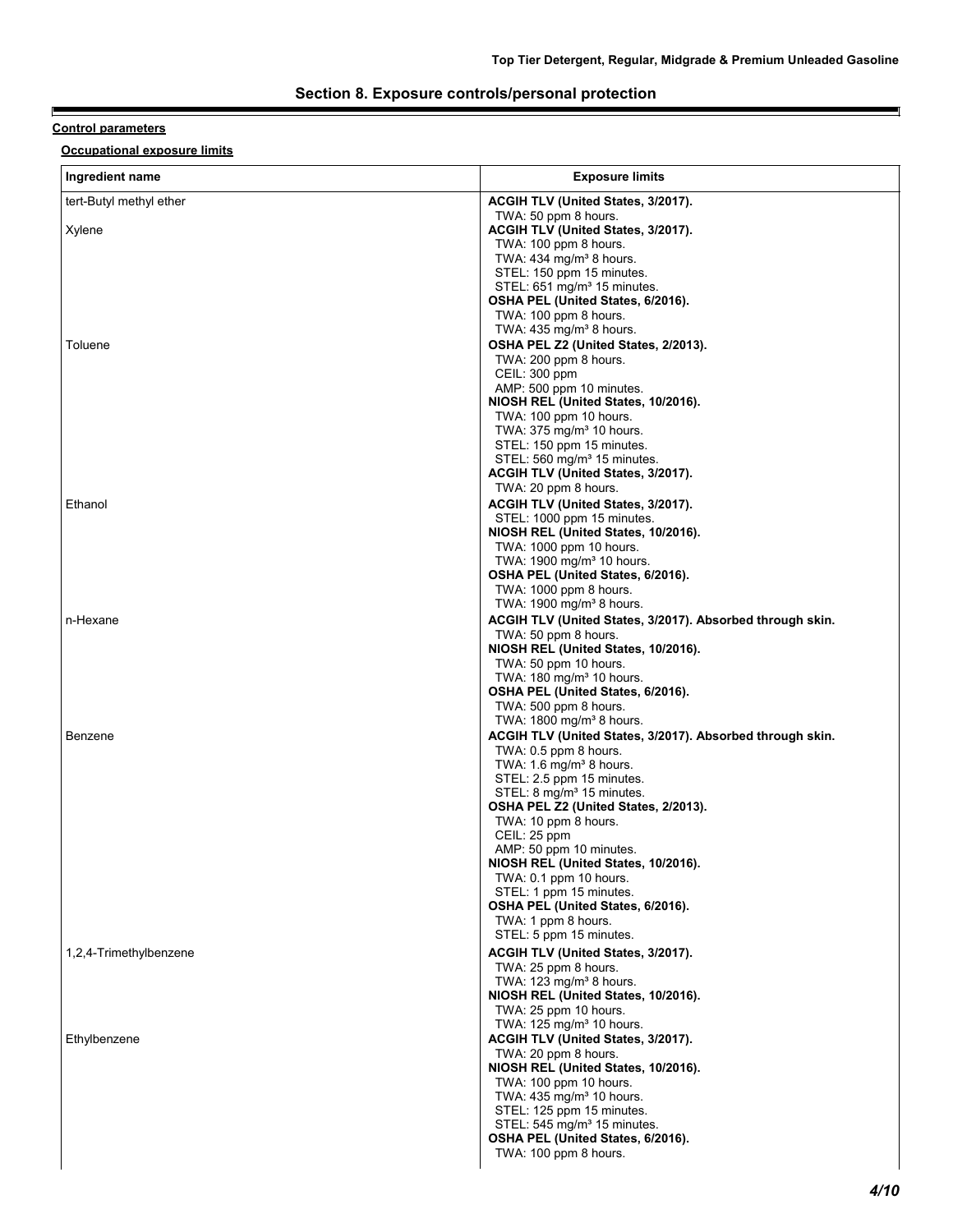### **Section 8. Exposure controls/personal protection**

### **Control parameters**

E

**Occupational exposure limits**

| Ingredient name         | <b>Exposure limits</b>                                                              |
|-------------------------|-------------------------------------------------------------------------------------|
| tert-Butyl methyl ether | <b>ACGIH TLV (United States, 3/2017).</b>                                           |
| Xylene                  | TWA: 50 ppm 8 hours.<br>ACGIH TLV (United States, 3/2017).<br>TWA: 100 ppm 8 hours. |
|                         | TWA: $434 \text{ mg/m}^3$ 8 hours.                                                  |
|                         | STEL: 150 ppm 15 minutes.<br>STEL: $651 \text{ mg/m}^3$ 15 minutes.                 |
|                         | OSHA PEL (United States, 6/2016).                                                   |
|                         | TWA: 100 ppm 8 hours.                                                               |
| Toluene                 | TWA: 435 mg/m <sup>3</sup> 8 hours.<br>OSHA PEL Z2 (United States, 2/2013).         |
|                         | TWA: 200 ppm 8 hours.                                                               |
|                         | CEIL: 300 ppm<br>AMP: 500 ppm 10 minutes.                                           |
|                         | NIOSH REL (United States, 10/2016).                                                 |
|                         | TWA: 100 ppm 10 hours.                                                              |
|                         | TWA: 375 mg/m <sup>3</sup> 10 hours.<br>STEL: 150 ppm 15 minutes.                   |
|                         | STEL: 560 mg/m <sup>3</sup> 15 minutes.                                             |
|                         | ACGIH TLV (United States, 3/2017).<br>TWA: 20 ppm 8 hours.                          |
| Ethanol                 | ACGIH TLV (United States, 3/2017).                                                  |
|                         | STEL: 1000 ppm 15 minutes.                                                          |
|                         | NIOSH REL (United States, 10/2016).<br>TWA: 1000 ppm 10 hours.                      |
|                         | TWA: 1900 mg/m <sup>3</sup> 10 hours.                                               |
|                         | OSHA PEL (United States, 6/2016).<br>TWA: 1000 ppm 8 hours.                         |
|                         | TWA: $1900 \text{ mg/m}^3$ 8 hours.                                                 |
| n-Hexane                | ACGIH TLV (United States, 3/2017). Absorbed through skin.                           |
|                         | TWA: 50 ppm 8 hours.<br>NIOSH REL (United States, 10/2016).                         |
|                         | TWA: 50 ppm 10 hours.                                                               |
|                         | TWA: $180 \text{ mg/m}^3$ 10 hours.<br>OSHA PEL (United States, 6/2016).            |
|                         | TWA: 500 ppm 8 hours.                                                               |
|                         | TWA: 1800 mg/m <sup>3</sup> 8 hours.                                                |
| Benzene                 | ACGIH TLV (United States, 3/2017). Absorbed through skin.<br>TWA: 0.5 ppm 8 hours.  |
|                         | TWA: $1.6 \text{ mg/m}^3$ 8 hours.                                                  |
|                         | STEL: 2.5 ppm 15 minutes.<br>STEL: 8 mg/m <sup>3</sup> 15 minutes.                  |
|                         | OSHA PEL Z2 (United States, 2/2013).                                                |
|                         | TWA: 10 ppm 8 hours.<br>CEIL: 25 ppm                                                |
|                         | AMP: 50 ppm 10 minutes.                                                             |
|                         | NIOSH REL (United States, 10/2016).                                                 |
|                         | TWA: 0.1 ppm 10 hours.<br>STEL: 1 ppm 15 minutes.                                   |
|                         | OSHA PEL (United States, 6/2016).                                                   |
|                         | TWA: 1 ppm 8 hours.<br>STEL: 5 ppm 15 minutes.                                      |
| 1,2,4-Trimethylbenzene  | ACGIH TLV (United States, 3/2017).                                                  |
|                         | TWA: 25 ppm 8 hours.<br>TWA: $123 \text{ mg/m}^3$ 8 hours.                          |
|                         | NIOSH REL (United States, 10/2016).                                                 |
|                         | TWA: 25 ppm 10 hours.                                                               |
| Ethylbenzene            | TWA: 125 mg/m <sup>3</sup> 10 hours.<br>ACGIH TLV (United States, 3/2017).          |
|                         | TWA: 20 ppm 8 hours.                                                                |
|                         | NIOSH REL (United States, 10/2016).<br>TWA: 100 ppm 10 hours.                       |
|                         | TWA: 435 mg/m <sup>3</sup> 10 hours.                                                |
|                         | STEL: 125 ppm 15 minutes.                                                           |
|                         | STEL: 545 mg/m <sup>3</sup> 15 minutes.<br>OSHA PEL (United States, 6/2016).        |
|                         | TWA: 100 ppm 8 hours.                                                               |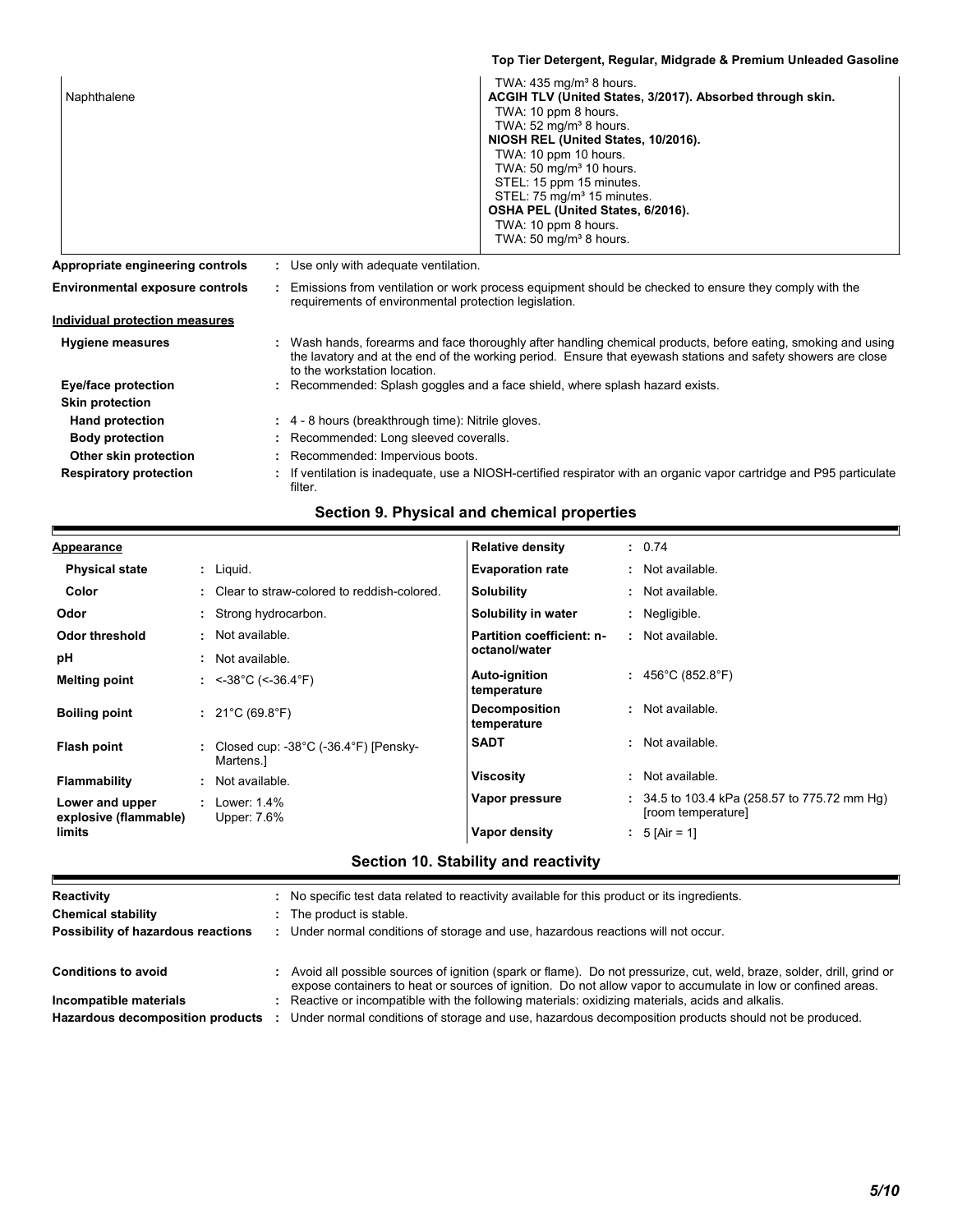|                                        | Top Tier Detergent, Regular, Midgrade & Premium Unleaded Gasoline                                                                                                                                                                                                                                                                                                                                                                             |
|----------------------------------------|-----------------------------------------------------------------------------------------------------------------------------------------------------------------------------------------------------------------------------------------------------------------------------------------------------------------------------------------------------------------------------------------------------------------------------------------------|
| Naphthalene                            | TWA: 435 mg/m <sup>3</sup> 8 hours.<br>ACGIH TLV (United States, 3/2017). Absorbed through skin.<br>TWA: 10 ppm 8 hours.<br>TWA: $52 \text{ mg/m}^3$ 8 hours.<br>NIOSH REL (United States, 10/2016).<br>TWA: 10 ppm 10 hours.<br>TWA: 50 mg/m <sup>3</sup> 10 hours.<br>STEL: 15 ppm 15 minutes.<br>STEL: 75 mg/m <sup>3</sup> 15 minutes.<br>OSHA PEL (United States, 6/2016).<br>TWA: 10 ppm 8 hours.<br>TWA: 50 mg/m <sup>3</sup> 8 hours. |
| Appropriate engineering controls       | : Use only with adequate ventilation.                                                                                                                                                                                                                                                                                                                                                                                                         |
| <b>Environmental exposure controls</b> | : Emissions from ventilation or work process equipment should be checked to ensure they comply with the<br>requirements of environmental protection legislation.                                                                                                                                                                                                                                                                              |
| <b>Individual protection measures</b>  |                                                                                                                                                                                                                                                                                                                                                                                                                                               |
| <b>Hygiene measures</b>                | : Wash hands, forearms and face thoroughly after handling chemical products, before eating, smoking and using<br>the lavatory and at the end of the working period. Ensure that eyewash stations and safety showers are close<br>to the workstation location.                                                                                                                                                                                 |
| Eye/face protection                    | Recommended: Splash goggles and a face shield, where splash hazard exists.                                                                                                                                                                                                                                                                                                                                                                    |
| <b>Skin protection</b>                 |                                                                                                                                                                                                                                                                                                                                                                                                                                               |
| <b>Hand protection</b>                 | : 4 - 8 hours (breakthrough time): Nitrile gloves.                                                                                                                                                                                                                                                                                                                                                                                            |
| <b>Body protection</b>                 | Recommended: Long sleeved coveralls.                                                                                                                                                                                                                                                                                                                                                                                                          |
| Other skin protection                  | : Recommended: Impervious boots.                                                                                                                                                                                                                                                                                                                                                                                                              |
| <b>Respiratory protection</b>          | If ventilation is inadequate, use a NIOSH-certified respirator with an organic vapor cartridge and P95 particulate<br>filter.                                                                                                                                                                                                                                                                                                                 |

### **Section 9. Physical and chemical properties**

h

| <b>Appearance</b>                        |   |                                                  | <b>Relative density</b>             | : 0.74                                                               |
|------------------------------------------|---|--------------------------------------------------|-------------------------------------|----------------------------------------------------------------------|
| <b>Physical state</b>                    |   | $:$ Liquid.                                      | <b>Evaporation rate</b>             | : Not available.                                                     |
| Color                                    |   | : Clear to straw-colored to reddish-colored.     | <b>Solubility</b>                   | : Not available.                                                     |
| Odor                                     |   | Strong hydrocarbon.                              | Solubility in water                 | : Negligible.                                                        |
| <b>Odor threshold</b>                    | ٠ | Not available.                                   | Partition coefficient: n-           | : Not available.                                                     |
| рH                                       | ÷ | Not available.                                   | octanol/water                       |                                                                      |
| <b>Melting point</b>                     |   | : $<$ -38°C (<-36.4°F)                           | Auto-ignition<br>temperature        | : $456^{\circ}$ C (852.8 $^{\circ}$ F)                               |
| <b>Boiling point</b>                     |   | : $21^{\circ}$ C (69.8 $^{\circ}$ F)             | <b>Decomposition</b><br>temperature | : Not available.                                                     |
| Flash point                              |   | Closed cup: -38°C (-36.4°F) [Pensky-<br>Martens. | <b>SADT</b>                         | : Not available.                                                     |
| Flammability                             |   | Not available.                                   | <b>Viscosity</b>                    | : Not available.                                                     |
| Lower and upper<br>explosive (flammable) |   | Lower: 1.4%<br>Upper: 7.6%                       | Vapor pressure                      | $: 34.5$ to 103.4 kPa (258.57 to 775.72 mm Hg)<br>[room temperature] |
| limits                                   |   |                                                  | Vapor density                       | : 5 [Air = 1]                                                        |

### **Section 10. Stability and reactivity**

| Reactivity                         | : No specific test data related to reactivity available for this product or its ingredients.                                                                                                                                            |
|------------------------------------|-----------------------------------------------------------------------------------------------------------------------------------------------------------------------------------------------------------------------------------------|
| <b>Chemical stability</b>          | : The product is stable.                                                                                                                                                                                                                |
| Possibility of hazardous reactions | : Under normal conditions of storage and use, hazardous reactions will not occur.                                                                                                                                                       |
| <b>Conditions to avoid</b>         | : Avoid all possible sources of ignition (spark or flame). Do not pressurize, cut, weld, braze, solder, drill, grind or<br>expose containers to heat or sources of ignition. Do not allow vapor to accumulate in low or confined areas. |
| Incompatible materials             | : Reactive or incompatible with the following materials: oxidizing materials, acids and alkalis.                                                                                                                                        |
| Hazardous decomposition products   | Under normal conditions of storage and use, hazardous decomposition products should not be produced.                                                                                                                                    |
|                                    |                                                                                                                                                                                                                                         |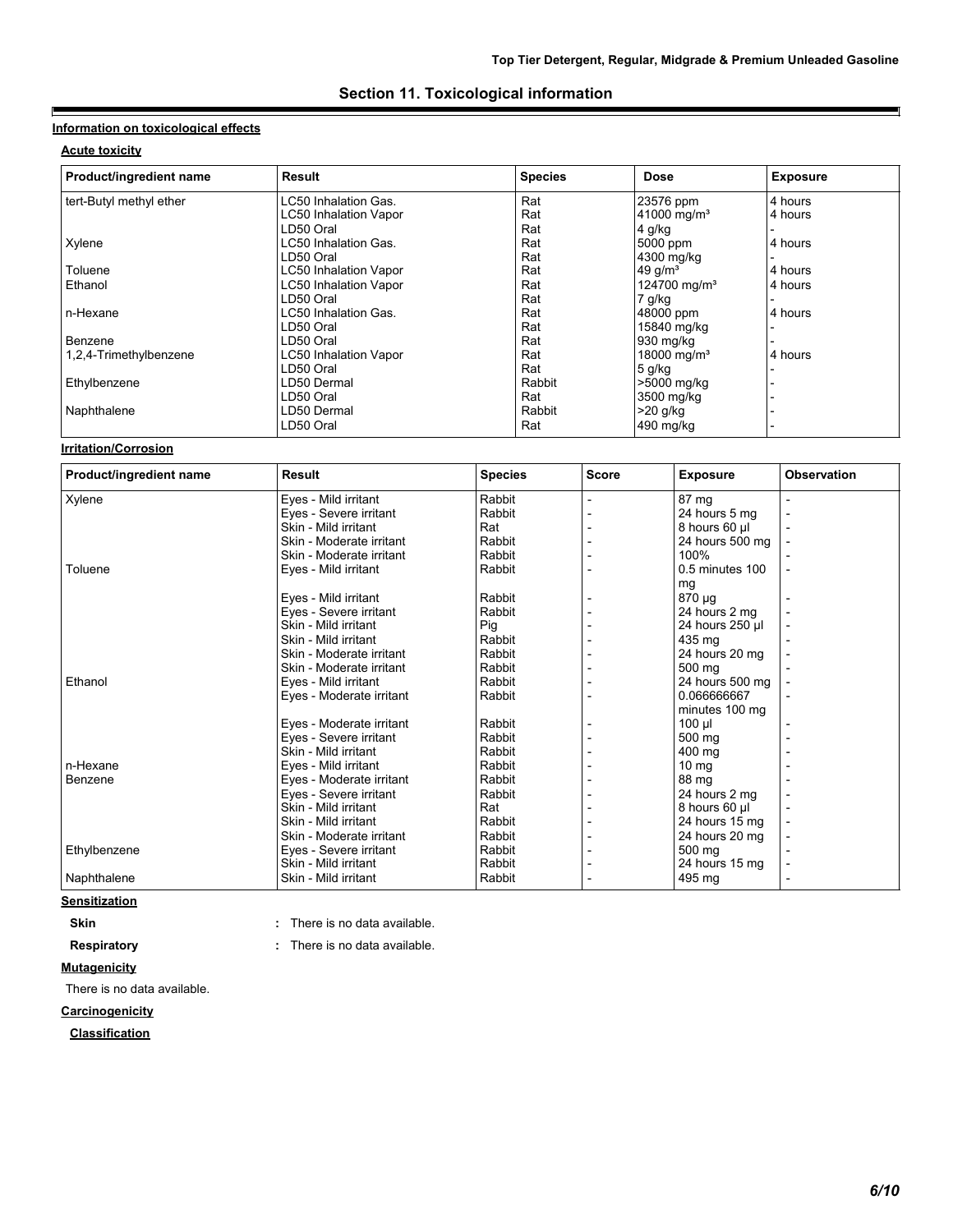### **Section 11. Toxicological information**

### **Information on toxicological effects**

### **Acute toxicity**

E

| Product/ingredient name | <b>Result</b>                | <b>Species</b> | <b>Dose</b>              | <b>Exposure</b> |
|-------------------------|------------------------------|----------------|--------------------------|-----------------|
| tert-Butyl methyl ether | LC50 Inhalation Gas.         | Rat            | 23576 ppm                | 4 hours         |
|                         | <b>LC50 Inhalation Vapor</b> | Rat            | 41000 mg/m <sup>3</sup>  | 4 hours         |
|                         | LD50 Oral                    | Rat            | 4 g/kg                   |                 |
| Xylene                  | LC50 Inhalation Gas.         | Rat            | 5000 ppm                 | 4 hours         |
|                         | LD50 Oral                    | Rat            | 4300 mg/kg               |                 |
| Toluene                 | <b>LC50 Inhalation Vapor</b> | Rat            | 49 $q/m3$                | 4 hours         |
| Ethanol                 | <b>LC50 Inhalation Vapor</b> | Rat            | 124700 mg/m <sup>3</sup> | 4 hours         |
|                         | LD50 Oral                    | Rat            | 7 g/kg                   |                 |
| n-Hexane                | LC50 Inhalation Gas.         | Rat            | 48000 ppm                | 4 hours         |
|                         | LD50 Oral                    | Rat            | 15840 mg/kg              |                 |
| Benzene                 | LD50 Oral                    | Rat            | 930 mg/kg                |                 |
| 1,2,4-Trimethylbenzene  | <b>LC50 Inhalation Vapor</b> | Rat            | 18000 mg/m <sup>3</sup>  | 4 hours         |
|                         | LD50 Oral                    | Rat            | $5$ g/kg                 |                 |
| Ethylbenzene            | LD50 Dermal                  | Rabbit         | >5000 mg/kg              |                 |
|                         | LD50 Oral                    | Rat            | 3500 mg/kg               |                 |
| Naphthalene             | LD50 Dermal                  | Rabbit         | $>20$ g/kg               |                 |
|                         | LD50 Oral                    | Rat            | 490 mg/kg                |                 |

#### **Irritation/Corrosion**

| Product/ingredient name | <b>Result</b>            | <b>Species</b> | <b>Score</b> | <b>Exposure</b>     | <b>Observation</b>       |  |
|-------------------------|--------------------------|----------------|--------------|---------------------|--------------------------|--|
| Xylene                  | Eyes - Mild irritant     | Rabbit         |              | 87 mg               |                          |  |
|                         | Eyes - Severe irritant   | Rabbit         |              | 24 hours 5 mg       | $\overline{\phantom{a}}$ |  |
|                         | Skin - Mild irritant     | Rat            |              | 8 hours 60 µl       |                          |  |
|                         | Skin - Moderate irritant | Rabbit         |              | 24 hours 500 mg     |                          |  |
|                         | Skin - Moderate irritant | Rabbit         |              | 100%                |                          |  |
| Toluene                 | Eyes - Mild irritant     | Rabbit         |              | $0.5$ minutes $100$ |                          |  |
|                         |                          |                |              | mg                  |                          |  |
|                         | Eyes - Mild irritant     | Rabbit         |              | 870 µg              |                          |  |
|                         | Eyes - Severe irritant   | Rabbit         |              | 24 hours 2 mg       |                          |  |
|                         | Skin - Mild irritant     | Pig            |              | 24 hours 250 µl     |                          |  |
|                         | Skin - Mild irritant     | Rabbit         |              | 435 mg              |                          |  |
|                         | Skin - Moderate irritant | Rabbit         |              | 24 hours 20 mg      |                          |  |
|                         | Skin - Moderate irritant | Rabbit         |              | 500 mg              |                          |  |
| Ethanol                 | Eyes - Mild irritant     | Rabbit         |              | 24 hours 500 mg     |                          |  |
|                         | Eyes - Moderate irritant | Rabbit         |              | 0.066666667         |                          |  |
|                         |                          |                |              | minutes 100 mg      |                          |  |
|                         | Eyes - Moderate irritant | Rabbit         |              | $100 \mu$           |                          |  |
|                         | Eves - Severe irritant   | Rabbit         |              | 500 ma              |                          |  |
|                         | Skin - Mild irritant     | Rabbit         |              | 400 mg              |                          |  |
| n-Hexane                | Eyes - Mild irritant     | Rabbit         |              | 10 <sub>mg</sub>    |                          |  |
| Benzene                 | Eyes - Moderate irritant | Rabbit         |              | 88 mg               |                          |  |
|                         | Eyes - Severe irritant   | Rabbit         |              | 24 hours 2 mg       |                          |  |
|                         | Skin - Mild irritant     | Rat            |              | 8 hours 60 µl       |                          |  |
|                         | Skin - Mild irritant     | Rabbit         |              | 24 hours 15 mg      |                          |  |
|                         | Skin - Moderate irritant | Rabbit         |              | 24 hours 20 mg      |                          |  |
| Ethylbenzene            | Eyes - Severe irritant   | Rabbit         |              | 500 mg              |                          |  |
|                         | Skin - Mild irritant     | Rabbit         |              | 24 hours 15 mg      |                          |  |
| Naphthalene             | Skin - Mild irritant     | Rabbit         |              | 495 mg              |                          |  |

### **Sensitization**

**Skin Skin :** There is no data available.

**Respiratory :** There is no data available. There is no data available.

### **Mutagenicity**

There is no data available.

### **Carcinogenicity**

**Classification**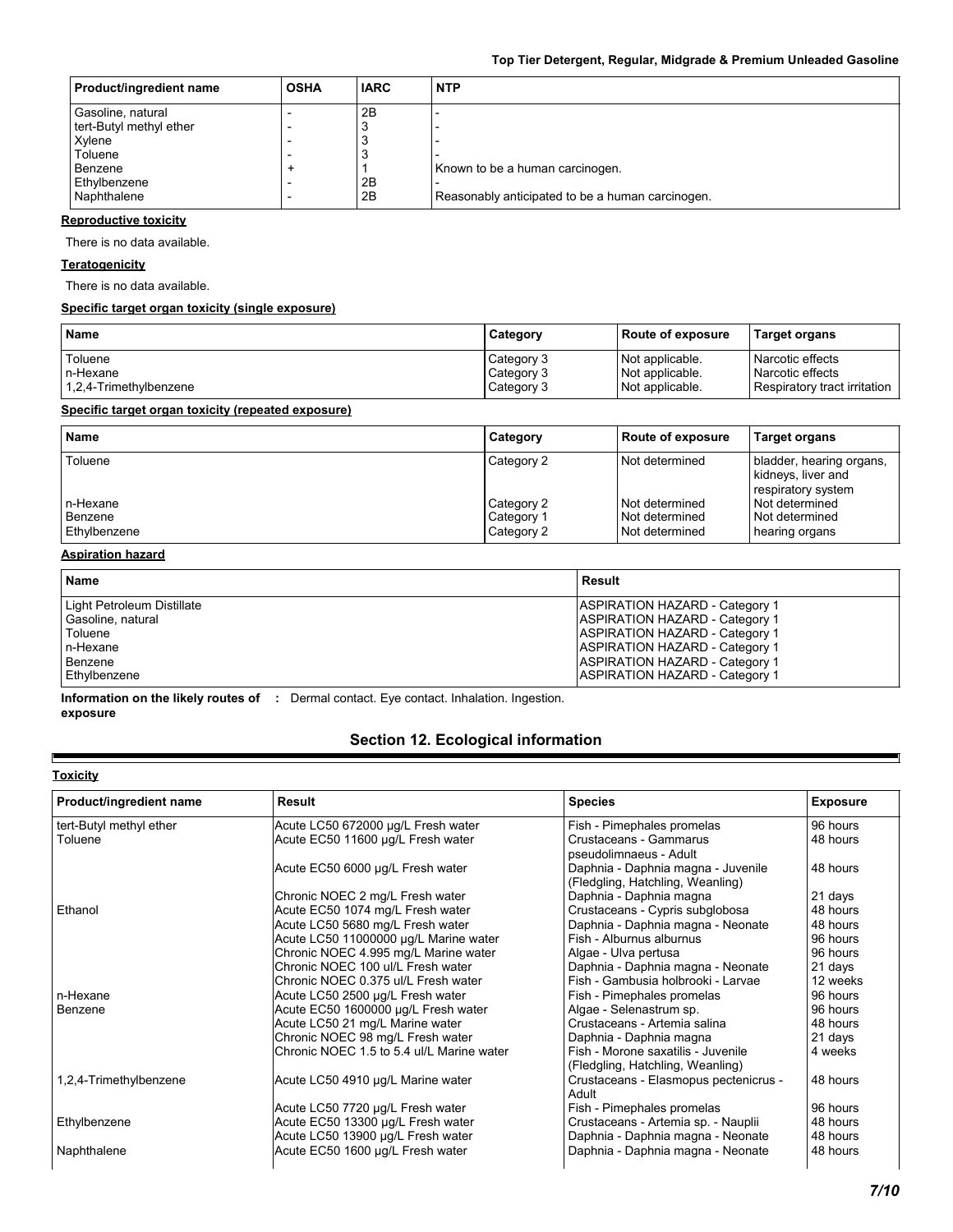| <b>Product/ingredient name</b> | <b>OSHA</b> | <b>IARC</b> | <b>NTP</b>                                       |
|--------------------------------|-------------|-------------|--------------------------------------------------|
| Gasoline, natural              |             | 2B          |                                                  |
| tert-Butyl methyl ether        |             | Э           |                                                  |
| Xylene                         |             | Э           |                                                  |
| Toluene                        |             | Э           |                                                  |
| Benzene                        |             |             | Known to be a human carcinogen.                  |
| Ethylbenzene                   |             | 2B          |                                                  |
| Naphthalene                    |             | 2B          | Reasonably anticipated to be a human carcinogen. |

### **Reproductive toxicity**

There is no data available.

#### **Teratogenicity**

There is no data available.

### **Specific target organ toxicity (single exposure)**

| <b>Name</b>            | Category   | Route of exposure | <b>Target organs</b>         |
|------------------------|------------|-------------------|------------------------------|
| Toluene                | Category 3 | Not applicable.   | Narcotic effects             |
| n-Hexane               | Category 3 | Not applicable.   | Narcotic effects             |
| 1,2,4-Trimethylbenzene | Category 3 | Not applicable.   | Respiratory tract irritation |

#### **Specific target organ toxicity (repeated exposure)**

| <b>Name</b>                         | Category                               | <b>Route of exposure</b>                           | <b>Target organs</b>                                                 |
|-------------------------------------|----------------------------------------|----------------------------------------------------|----------------------------------------------------------------------|
| Toluene                             | Category 2                             | Not determined                                     | bladder, hearing organs,<br>kidneys, liver and<br>respiratory system |
| n-Hexane<br>Benzene<br>Ethylbenzene | Category 2<br>Category 1<br>Category 2 | Not determined<br>Not determined<br>Not determined | Not determined<br>Not determined<br>hearing organs                   |

#### **Aspiration hazard**

| <b>Name</b>                | Result                                |
|----------------------------|---------------------------------------|
| Light Petroleum Distillate | <b>ASPIRATION HAZARD - Category 1</b> |
| Gasoline, natural          | <b>ASPIRATION HAZARD - Category 1</b> |
| Toluene                    | <b>ASPIRATION HAZARD - Category 1</b> |
| n-Hexane                   | <b>ASPIRATION HAZARD - Category 1</b> |
| Benzene                    | <b>ASPIRATION HAZARD - Category 1</b> |
| Ethylbenzene               | <b>ASPIRATION HAZARD - Category 1</b> |

**Information on the likely routes of :** Dermal contact. Eye contact. Inhalation. Ingestion. **exposure**

### **Section 12. Ecological information**

#### **Toxicity**

 $\blacksquare$ 

| Product/ingredient name | Result                                    | <b>Species</b>                                                         | <b>Exposure</b> |
|-------------------------|-------------------------------------------|------------------------------------------------------------------------|-----------------|
| tert-Butyl methyl ether | Acute LC50 672000 µg/L Fresh water        | Fish - Pimephales promelas                                             | 96 hours        |
| Toluene                 | Acute EC50 11600 µg/L Fresh water         | Crustaceans - Gammarus<br>pseudolimnaeus - Adult                       | 48 hours        |
|                         | Acute EC50 6000 µg/L Fresh water          | Daphnia - Daphnia magna - Juvenile<br>(Fledgling, Hatchling, Weanling) | 48 hours        |
|                         | Chronic NOEC 2 mg/L Fresh water           | Daphnia - Daphnia magna                                                | 21 days         |
| Ethanol                 | Acute EC50 1074 mg/L Fresh water          | Crustaceans - Cypris subglobosa                                        | 48 hours        |
|                         | Acute LC50 5680 mg/L Fresh water          | Daphnia - Daphnia magna - Neonate                                      | 48 hours        |
|                         | Acute LC50 11000000 µg/L Marine water     | Fish - Alburnus alburnus                                               | 96 hours        |
|                         | Chronic NOEC 4.995 mg/L Marine water      | Algae - Ulva pertusa                                                   | 96 hours        |
|                         | Chronic NOEC 100 ul/L Fresh water         | Daphnia - Daphnia magna - Neonate                                      | 21 days         |
|                         | Chronic NOEC 0.375 ul/L Fresh water       | Fish - Gambusia holbrooki - Larvae                                     | 12 weeks        |
| n-Hexane                | Acute LC50 2500 µg/L Fresh water          | Fish - Pimephales promelas                                             | 96 hours        |
| Benzene                 | Acute EC50 1600000 µg/L Fresh water       | Algae - Selenastrum sp.                                                | 96 hours        |
|                         | Acute LC50 21 mg/L Marine water           | Crustaceans - Artemia salina                                           | 48 hours        |
|                         | Chronic NOEC 98 mg/L Fresh water          | Daphnia - Daphnia magna                                                | 21 days         |
|                         | Chronic NOEC 1.5 to 5.4 ul/L Marine water | Fish - Morone saxatilis - Juvenile<br>(Fledgling, Hatchling, Weanling) | 4 weeks         |
| 1,2,4-Trimethylbenzene  | Acute LC50 4910 µg/L Marine water         | Crustaceans - Elasmopus pectenicrus -<br>Adult                         | 48 hours        |
|                         | Acute LC50 7720 µg/L Fresh water          | Fish - Pimephales promelas                                             | 96 hours        |
| Ethylbenzene            | Acute EC50 13300 µg/L Fresh water         | Crustaceans - Artemia sp. - Nauplii                                    | 48 hours        |
|                         | Acute LC50 13900 µg/L Fresh water         | Daphnia - Daphnia magna - Neonate                                      | 48 hours        |
| Naphthalene             | Acute EC50 1600 µg/L Fresh water          | Daphnia - Daphnia magna - Neonate                                      | 48 hours        |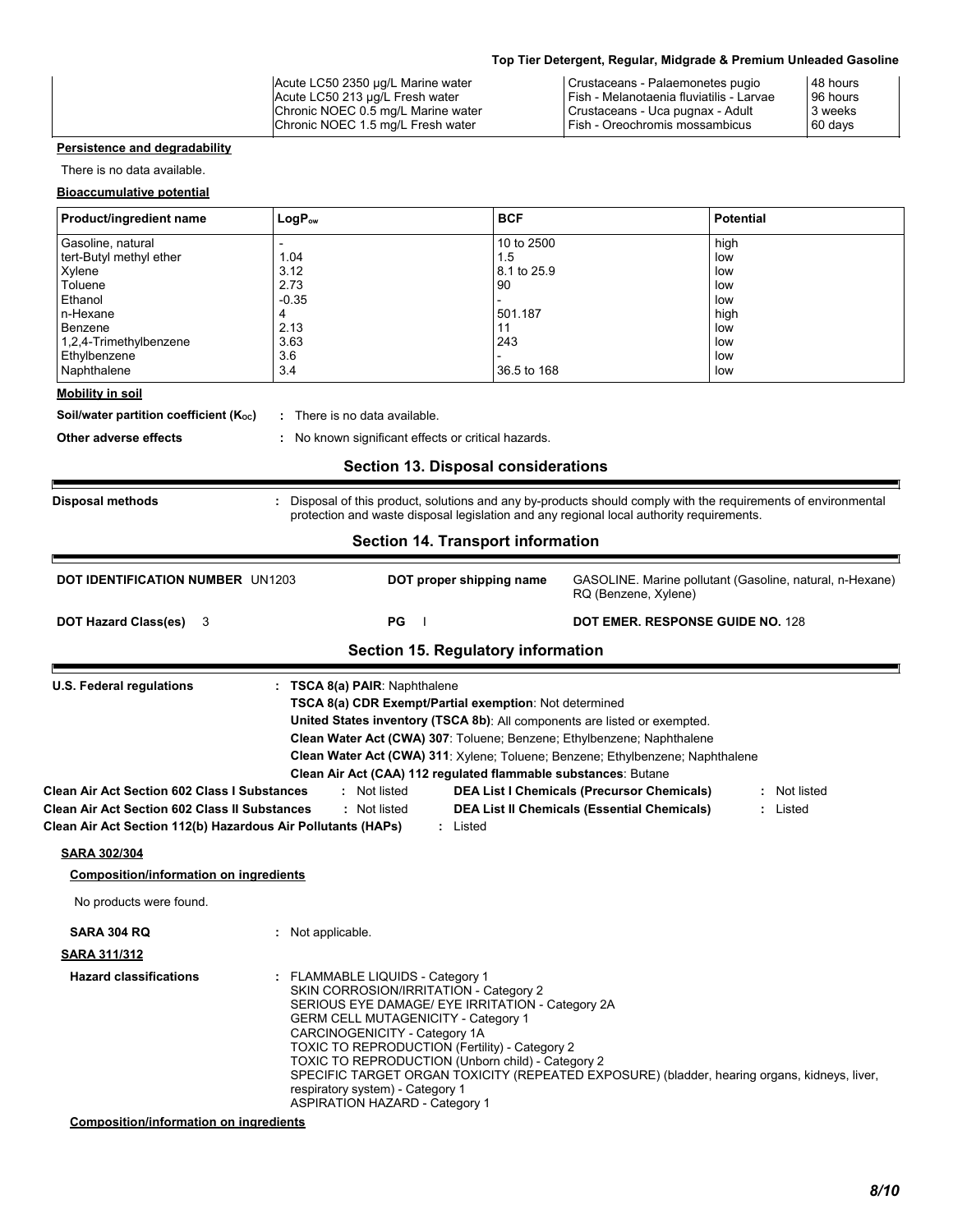| Acute LC50 2350 µg/L Marine water<br>Acute LC50 213 µg/L Fresh water<br>Chronic NOEC 0.5 mg/L Marine water | Crustaceans - Palaemonetes pugio<br>Fish - Melanotaenia fluviatilis - Larvae<br>Crustaceans - Uca pugnax - Adult | 48 hours<br>96 hours<br>3 weeks |  |
|------------------------------------------------------------------------------------------------------------|------------------------------------------------------------------------------------------------------------------|---------------------------------|--|
| Chronic NOEC 1.5 mg/L Fresh water                                                                          | Fish - Oreochromis mossambicus                                                                                   | 60 days                         |  |

### **Persistence and degradability**

There is no data available.

#### **Bioaccumulative potential**

| Product/ingredient name | $LogP_{ow}$ | <b>BCF</b>  | <b>Potential</b> |
|-------------------------|-------------|-------------|------------------|
| Gasoline, natural       |             | 10 to 2500  | high             |
| tert-Butyl methyl ether | 1.04        | 1.5         | low              |
| Xylene                  | 3.12        | 8.1 to 25.9 | low              |
| Toluene                 | 2.73        | 90          | low              |
| Ethanol                 | $-0.35$     |             | low              |
| n-Hexane                | 4           | 501.187     | high             |
| Benzene                 | 2.13        | 11          | low              |
| 1,2,4-Trimethylbenzene  | 3.63        | 243         | low              |
| Ethylbenzene            | 3.6         |             | low              |
| Naphthalene             | 3.4         | 36.5 to 168 | low              |

#### **Mobility in soil**

**Soil/water partition coefficient (K<sub>oc</sub>) :** There is no data available.

**Other adverse effects :** No known significant effects or critical hazards.

### **Section 13. Disposal considerations**

| <b>Disposal methods</b>                                                                                                                                                                            |                               |                                                                                                                                                                                                                                                                   | : Disposal of this product, solutions and any by-products should comply with the requirements of environmental<br>protection and waste disposal legislation and any regional local authority requirements.            |
|----------------------------------------------------------------------------------------------------------------------------------------------------------------------------------------------------|-------------------------------|-------------------------------------------------------------------------------------------------------------------------------------------------------------------------------------------------------------------------------------------------------------------|-----------------------------------------------------------------------------------------------------------------------------------------------------------------------------------------------------------------------|
|                                                                                                                                                                                                    |                               | <b>Section 14. Transport information</b>                                                                                                                                                                                                                          |                                                                                                                                                                                                                       |
| <b>DOT IDENTIFICATION NUMBER UN1203</b>                                                                                                                                                            |                               | DOT proper shipping name                                                                                                                                                                                                                                          | GASOLINE. Marine pollutant (Gasoline, natural, n-Hexane)<br>RQ (Benzene, Xylene)                                                                                                                                      |
| <b>DOT Hazard Class(es)</b><br>-3                                                                                                                                                                  |                               | PG                                                                                                                                                                                                                                                                | DOT EMER. RESPONSE GUIDE NO. 128                                                                                                                                                                                      |
|                                                                                                                                                                                                    |                               | <b>Section 15. Regulatory information</b>                                                                                                                                                                                                                         |                                                                                                                                                                                                                       |
| <b>Clean Air Act Section 602 Class I Substances</b><br><b>Clean Air Act Section 602 Class II Substances</b><br>Clean Air Act Section 112(b) Hazardous Air Pollutants (HAPs)<br><b>SARA 302/304</b> |                               | United States inventory (TSCA 8b): All components are listed or exempted.<br>Clean Water Act (CWA) 307: Toluene; Benzene; Ethylbenzene; Naphthalene<br>Clean Air Act (CAA) 112 regulated flammable substances: Butane<br>: Not listed<br>: Not listed<br>: Listed | Clean Water Act (CWA) 311: Xylene; Toluene; Benzene; Ethylbenzene; Naphthalene<br><b>DEA List I Chemicals (Precursor Chemicals)</b><br>: Not listed<br><b>DEA List II Chemicals (Essential Chemicals)</b><br>: Listed |
| <b>Composition/information on ingredients</b>                                                                                                                                                      |                               |                                                                                                                                                                                                                                                                   |                                                                                                                                                                                                                       |
| No products were found.                                                                                                                                                                            |                               |                                                                                                                                                                                                                                                                   |                                                                                                                                                                                                                       |
| <b>SARA 304 RQ</b>                                                                                                                                                                                 | : Not applicable.             |                                                                                                                                                                                                                                                                   |                                                                                                                                                                                                                       |
| <b>SARA 311/312</b>                                                                                                                                                                                |                               |                                                                                                                                                                                                                                                                   |                                                                                                                                                                                                                       |
| <b>Hazard classifications</b>                                                                                                                                                                      | CARCINOGENICITY - Category 1A | : FLAMMABLE LIQUIDS - Category 1<br>SKIN CORROSION/IRRITATION - Category 2<br>SERIOUS EYE DAMAGE/ EYE IRRITATION - Category 2A<br><b>GERM CELL MUTAGENICITY - Category 1</b>                                                                                      |                                                                                                                                                                                                                       |

**Composition/information on ingredients**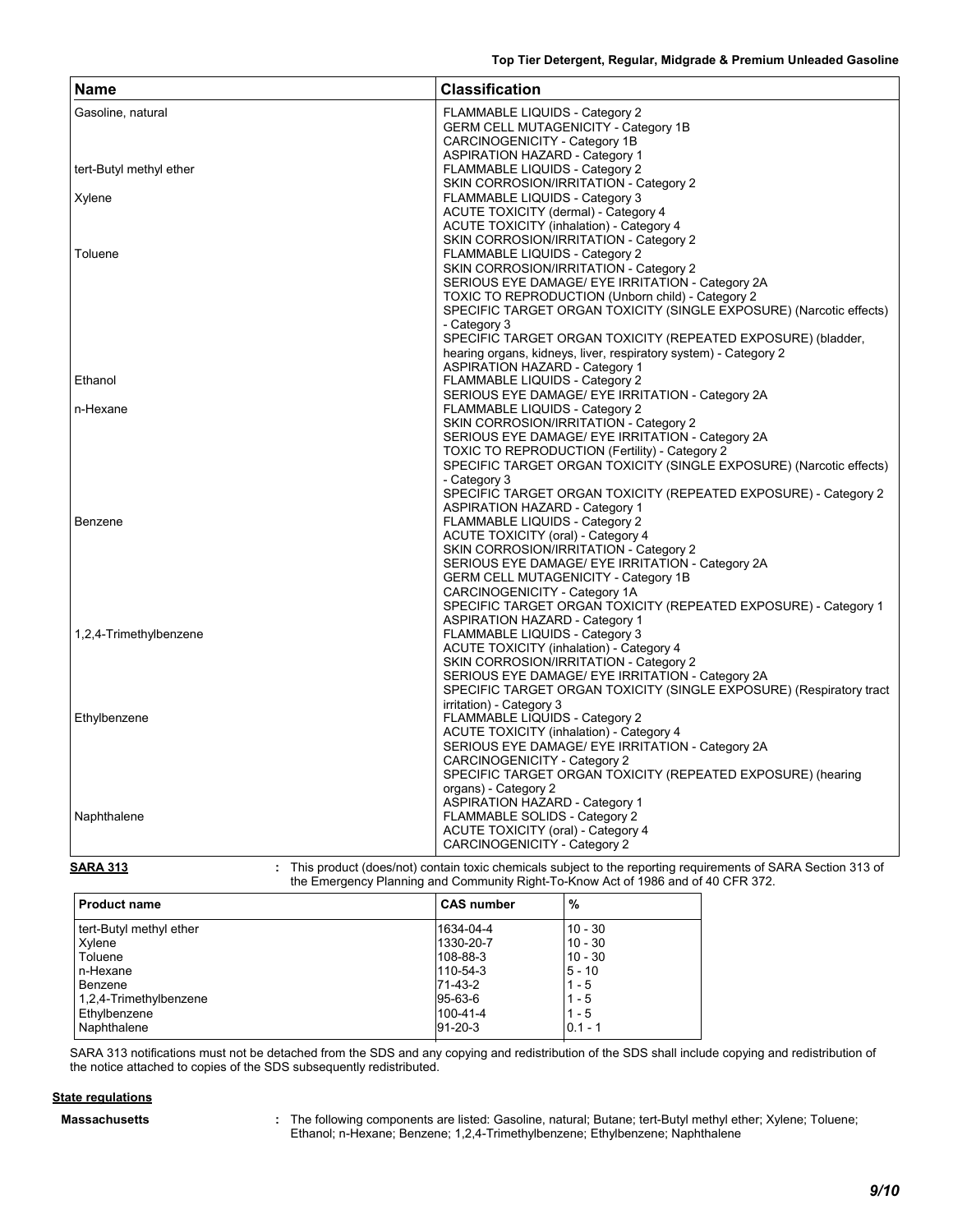| Gasoline, natural<br>FLAMMABLE LIQUIDS - Category 2                 |  |
|---------------------------------------------------------------------|--|
| <b>GERM CELL MUTAGENICITY - Category 1B</b>                         |  |
| CARCINOGENICITY - Category 1B                                       |  |
| <b>ASPIRATION HAZARD - Category 1</b>                               |  |
| tert-Butyl methyl ether<br>FLAMMABLE LIQUIDS - Category 2           |  |
| SKIN CORROSION/IRRITATION - Category 2                              |  |
| FLAMMABLE LIQUIDS - Category 3<br>Xylene                            |  |
| ACUTE TOXICITY (dermal) - Category 4                                |  |
| <b>ACUTE TOXICITY (inhalation) - Category 4</b>                     |  |
| SKIN CORROSION/IRRITATION - Category 2                              |  |
| FLAMMABLE LIQUIDS - Category 2<br>Toluene                           |  |
| SKIN CORROSION/IRRITATION - Category 2                              |  |
| SERIOUS EYE DAMAGE/ EYE IRRITATION - Category 2A                    |  |
|                                                                     |  |
| TOXIC TO REPRODUCTION (Unborn child) - Category 2                   |  |
| SPECIFIC TARGET ORGAN TOXICITY (SINGLE EXPOSURE) (Narcotic effects) |  |
| - Category 3                                                        |  |
| SPECIFIC TARGET ORGAN TOXICITY (REPEATED EXPOSURE) (bladder,        |  |
| hearing organs, kidneys, liver, respiratory system) - Category 2    |  |
| <b>ASPIRATION HAZARD - Category 1</b>                               |  |
| Ethanol<br>FLAMMABLE LIQUIDS - Category 2                           |  |
| SERIOUS EYE DAMAGE/ EYE IRRITATION - Category 2A                    |  |
| n-Hexane<br>FLAMMABLE LIQUIDS - Category 2                          |  |
| SKIN CORROSION/IRRITATION - Category 2                              |  |
| SERIOUS EYE DAMAGE/ EYE IRRITATION - Category 2A                    |  |
| TOXIC TO REPRODUCTION (Fertility) - Category 2                      |  |
| SPECIFIC TARGET ORGAN TOXICITY (SINGLE EXPOSURE) (Narcotic effects) |  |
| - Category 3                                                        |  |
| SPECIFIC TARGET ORGAN TOXICITY (REPEATED EXPOSURE) - Category 2     |  |
| <b>ASPIRATION HAZARD - Category 1</b>                               |  |
| Benzene<br>FLAMMABLE LIQUIDS - Category 2                           |  |
| <b>ACUTE TOXICITY (oral) - Category 4</b>                           |  |
| SKIN CORROSION/IRRITATION - Category 2                              |  |
| SERIOUS EYE DAMAGE/ EYE IRRITATION - Category 2A                    |  |
| <b>GERM CELL MUTAGENICITY - Category 1B</b>                         |  |
| CARCINOGENICITY - Category 1A                                       |  |
| SPECIFIC TARGET ORGAN TOXICITY (REPEATED EXPOSURE) - Category 1     |  |
| <b>ASPIRATION HAZARD - Category 1</b>                               |  |
| 1,2,4-Trimethylbenzene<br>FLAMMABLE LIQUIDS - Category 3            |  |
| <b>ACUTE TOXICITY (inhalation) - Category 4</b>                     |  |
| SKIN CORROSION/IRRITATION - Category 2                              |  |
| SERIOUS EYE DAMAGE/ EYE IRRITATION - Category 2A                    |  |
| SPECIFIC TARGET ORGAN TOXICITY (SINGLE EXPOSURE) (Respiratory tract |  |
| irritation) - Category 3                                            |  |
| FLAMMABLE LIQUIDS - Category 2<br>Ethylbenzene                      |  |
| <b>ACUTE TOXICITY (inhalation) - Category 4</b>                     |  |
|                                                                     |  |
| SERIOUS EYE DAMAGE/ EYE IRRITATION - Category 2A                    |  |
| CARCINOGENICITY - Category 2                                        |  |
| SPECIFIC TARGET ORGAN TOXICITY (REPEATED EXPOSURE) (hearing         |  |
| organs) - Category 2                                                |  |
| <b>ASPIRATION HAZARD - Category 1</b>                               |  |
| FLAMMABLE SOLIDS - Category 2<br>Naphthalene                        |  |
| ACUTE TOXICITY (oral) - Category 4                                  |  |
| CARCINOGENICITY - Category 2                                        |  |



| <b>Product name</b>     | <b>CAS number</b> | $\%$      |  |
|-------------------------|-------------------|-----------|--|
| tert-Butyl methyl ether | 1634-04-4         | $10 - 30$ |  |
| Xylene                  | 1330-20-7         | $10 - 30$ |  |
| Toluene                 | 108-88-3          | $10 - 30$ |  |
| n-Hexane                | 110-54-3          | $5 - 10$  |  |
| Benzene                 | 71-43-2           | $1 - 5$   |  |
| 1,2,4-Trimethylbenzene  | 95-63-6           | $1 - 5$   |  |
| Ethylbenzene            | 100-41-4          | $1 - 5$   |  |
| Naphthalene             | $91 - 20 - 3$     | $0.1 - 1$ |  |
|                         |                   |           |  |

SARA 313 notifications must not be detached from the SDS and any copying and redistribution of the SDS shall include copying and redistribution of the notice attached to copies of the SDS subsequently redistributed.

### **State regulations**

The following components are listed: Gasoline, natural; Butane; tert-Butyl methyl ether; Xylene; Toluene; **Massachusetts :** Ethanol; n-Hexane; Benzene; 1,2,4-Trimethylbenzene; Ethylbenzene; Naphthalene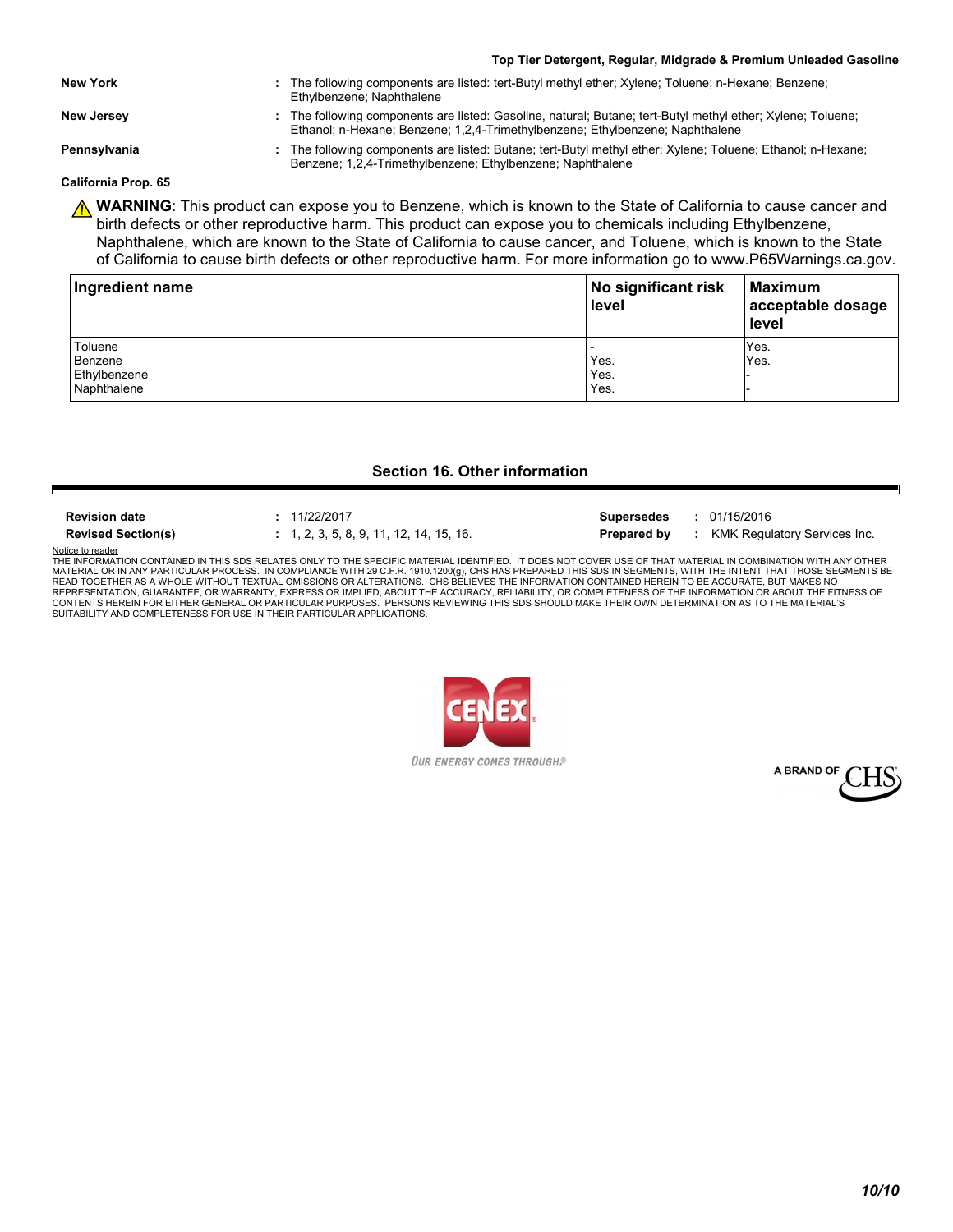- **New York :** The following components are listed: tert-Butyl methyl ether; Xylene; Toluene; n-Hexane; Benzene; Ethylbenzene; Naphthalene
- **New Jersey :** The following components are listed: Gasoline, natural; Butane; tert-Butyl methyl ether; Xylene; Toluene; Ethanol; n-Hexane; Benzene; 1,2,4-Trimethylbenzene; Ethylbenzene; Naphthalene

**Pennsylvania 19. Indee 10. The following components are listed: Butane; tert-Butyl methyl ether; Xylene; Toluene; Ethanol; n-Hexane;** Benzene; 1,2,4-Trimethylbenzene; Ethylbenzene; Naphthalene

**California Prop. 65**

**A WARNING**: This product can expose you to Benzene, which is known to the State of California to cause cancer and birth defects or other reproductive harm. This product can expose you to chemicals including Ethylbenzene, Naphthalene, which are known to the State of California to cause cancer, and Toluene, which is known to the State of California to cause birth defects or other reproductive harm. For more information go to www.P65Warnings.ca.gov.

| Ingredient name | No significant risk<br>level | Maximum<br>acceptable dosage<br>l level |  |
|-----------------|------------------------------|-----------------------------------------|--|
| Toluene         |                              | Yes.                                    |  |
| Benzene         | Yes.                         | Yes.                                    |  |
| Ethylbenzene    | Yes.                         |                                         |  |
| Naphthalene     | Yes.                         |                                         |  |

### **Section 16. Other information**

Е

**Revised Section(s) :** 1, 2, 3, 5, 8, 9, 11, 12, 14, 15, 16. **Prepared by :** KMK Regulatory Services Inc. **Revision date :** 11/22/2017 **Supersedes :** 01/15/2016

Notice to reader THE INFORMATION CONTAINED IN THIS SDS RELATES ONLY TO THE SPECIFIC MATERIAL IDENTIFIED. IT DOES NOT COVER USE OF THAT MATERIAL IN COMBINATION WITH ANY OTHER<br>MATERIAL OR IN ANY PARTICULAR PROCESS. IN COMPLIANCE WITH 29 C.F. READ TOGETHER AS A WHOLE WITHOUT TEXTUAL OMISSIONS OR ALTERATIONS. CHS BELIEVES THE INFORMATION CONTAINED HEREIN TO BE ACCURATE, BUT MAKES NO<br>REPRESENTATION, GUARANTEE, OR WARRANTY, EXPRESS OR IMPLIED, ABOUT THE ACCURACY,



OUR ENERGY COMES THROUGH.<sup>®</sup>

A BRAND OF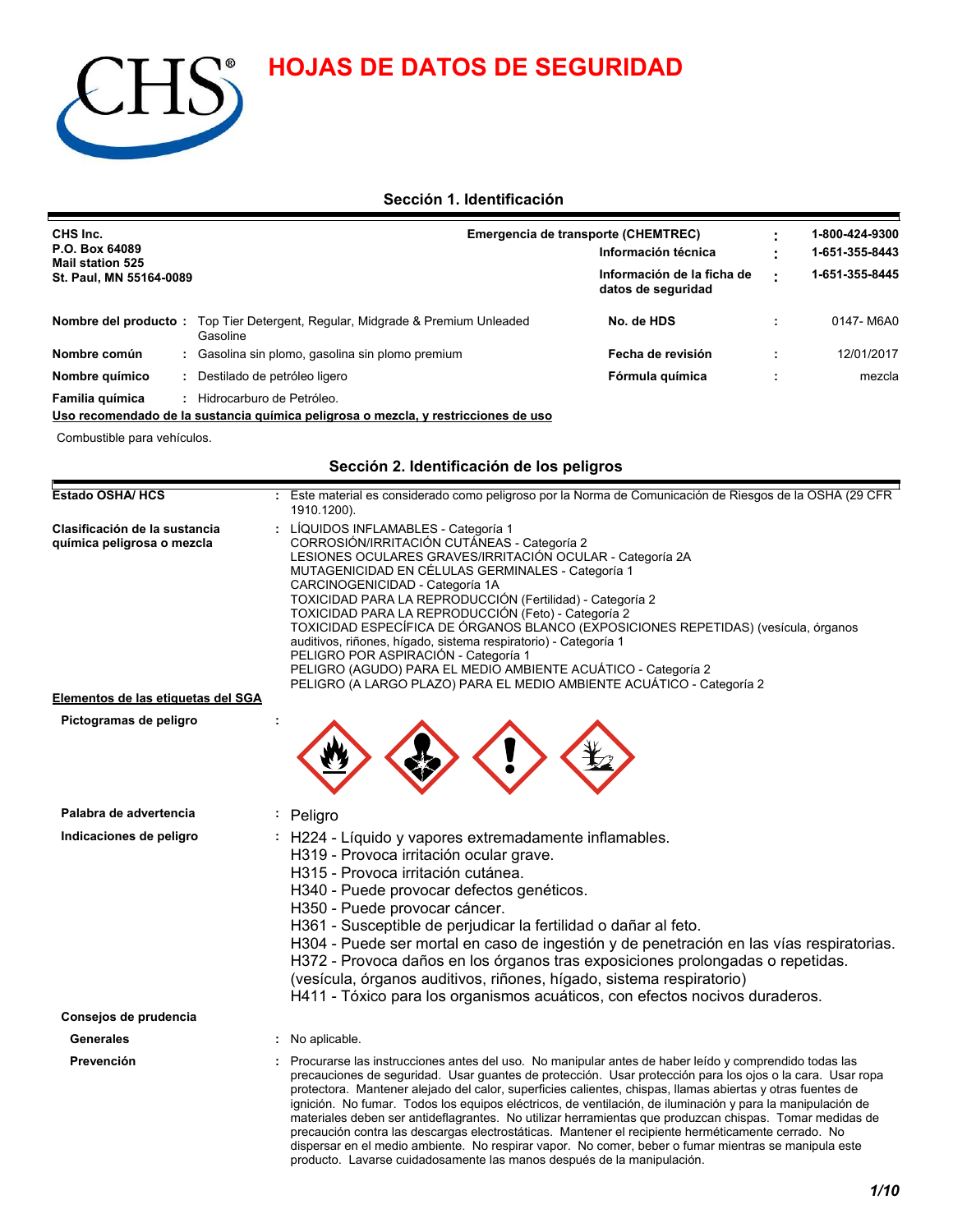**HOJAS DE DATOS DE SEGURIDAD**



### **Sección 1. Identificación**

| CHS Inc.<br>P.O. Box 64089<br><b>Mail station 525</b><br>St. Paul, MN 55164-0089 |  |                                                                      | Emergencia de transporte (CHEMTREC)<br>Información técnica<br>Información de la ficha de<br>datos de seguridad |  | 1-800-424-9300<br>1-651-355-8443 |
|----------------------------------------------------------------------------------|--|----------------------------------------------------------------------|----------------------------------------------------------------------------------------------------------------|--|----------------------------------|
|                                                                                  |  |                                                                      |                                                                                                                |  | 1-651-355-8445                   |
| Nombre del producto:                                                             |  | Top Tier Detergent, Regular, Midgrade & Premium Unleaded<br>Gasoline | No. de HDS                                                                                                     |  | 0147-M6A0                        |
| Nombre común                                                                     |  | : Gasolina sin plomo, gasolina sin plomo premium                     | Fecha de revisión                                                                                              |  | 12/01/2017                       |
| Nombre químico                                                                   |  | Fórmula química<br>Destilado de petróleo ligero                      |                                                                                                                |  | mezcla                           |
| Familia química                                                                  |  | Hidrocarburo de Petróleo.                                            |                                                                                                                |  |                                  |

### **Uso recomendado de la sustancia química peligrosa o mezcla, y restricciones de uso**

Combustible para vehículos.

### **Sección 2. Identificación de los peligros**

| Estado OSHA/ HCS                                                                                  | : Este material es considerado como peligroso por la Norma de Comunicación de Riesgos de la OSHA (29 CFR<br>1910.1200).                                                                                                                                                                                                                                                                                                                                                                                                                                                                                                                                                                                                                                                                                                                           |  |
|---------------------------------------------------------------------------------------------------|---------------------------------------------------------------------------------------------------------------------------------------------------------------------------------------------------------------------------------------------------------------------------------------------------------------------------------------------------------------------------------------------------------------------------------------------------------------------------------------------------------------------------------------------------------------------------------------------------------------------------------------------------------------------------------------------------------------------------------------------------------------------------------------------------------------------------------------------------|--|
| Clasificación de la sustancia<br>química peligrosa o mezcla<br>Elementos de las etiquetas del SGA | LÍQUIDOS INFLAMABLES - Categoría 1<br>CORROSIÓN/IRRITACIÓN CUTÁNEAS - Categoría 2<br>LESIONES OCULARES GRAVES/IRRITACIÓN OCULAR - Categoría 2A<br>MUTAGENICIDAD EN CÉLULAS GERMINALES - Categoría 1<br>CARCINOGENICIDAD - Categoría 1A<br>TOXICIDAD PARA LA REPRODUCCIÓN (Fertilidad) - Categoría 2<br>TOXICIDAD PARA LA REPRODUCCIÓN (Feto) - Categoría 2<br>TOXICIDAD ESPECÍFICA DE ÓRGANOS BLANCO (EXPOSICIONES REPETIDAS) (vesícula, órganos<br>auditivos, riñones, hígado, sistema respiratorio) - Categoría 1<br>PELIGRO POR ASPIRACIÓN - Categoría 1<br>PELIGRO (AGUDO) PARA EL MEDIO AMBIENTE ACUÁTICO - Categoría 2<br>PELIGRO (A LARGO PLAZO) PARA EL MEDIO AMBIENTE ACUÁTICO - Categoría 2                                                                                                                                             |  |
|                                                                                                   |                                                                                                                                                                                                                                                                                                                                                                                                                                                                                                                                                                                                                                                                                                                                                                                                                                                   |  |
| Pictogramas de peligro                                                                            |                                                                                                                                                                                                                                                                                                                                                                                                                                                                                                                                                                                                                                                                                                                                                                                                                                                   |  |
| Palabra de advertencia                                                                            | Peligro                                                                                                                                                                                                                                                                                                                                                                                                                                                                                                                                                                                                                                                                                                                                                                                                                                           |  |
| Indicaciones de peligro                                                                           | : H224 - Líquido y vapores extremadamente inflamables.<br>H319 - Provoca irritación ocular grave.<br>H315 - Provoca irritación cutánea.<br>H340 - Puede provocar defectos genéticos.<br>H350 - Puede provocar cáncer.<br>H361 - Susceptible de perjudicar la fertilidad o dañar al feto.<br>H304 - Puede ser mortal en caso de ingestión y de penetración en las vías respiratorias.<br>H372 - Provoca daños en los órganos tras exposiciones prolongadas o repetidas.<br>(vesícula, órganos auditivos, riñones, hígado, sistema respiratorio)<br>H411 - Tóxico para los organismos acuáticos, con efectos nocivos duraderos.                                                                                                                                                                                                                     |  |
| Consejos de prudencia                                                                             |                                                                                                                                                                                                                                                                                                                                                                                                                                                                                                                                                                                                                                                                                                                                                                                                                                                   |  |
| <b>Generales</b>                                                                                  | No aplicable.                                                                                                                                                                                                                                                                                                                                                                                                                                                                                                                                                                                                                                                                                                                                                                                                                                     |  |
| Prevención                                                                                        | Procurarse las instrucciones antes del uso. No manipular antes de haber leído y comprendido todas las<br>precauciones de seguridad. Usar guantes de protección. Usar protección para los ojos o la cara. Usar ropa<br>protectora. Mantener alejado del calor, superficies calientes, chispas, llamas abiertas y otras fuentes de<br>ignición. No fumar. Todos los equipos eléctricos, de ventilación, de iluminación y para la manipulación de<br>materiales deben ser antideflagrantes. No utilizar herramientas que produzcan chispas. Tomar medidas de<br>precaución contra las descargas electrostáticas. Mantener el recipiente herméticamente cerrado. No<br>dispersar en el medio ambiente. No respirar vapor. No comer, beber o fumar mientras se manipula este<br>producto. Lavarse cuidadosamente las manos después de la manipulación. |  |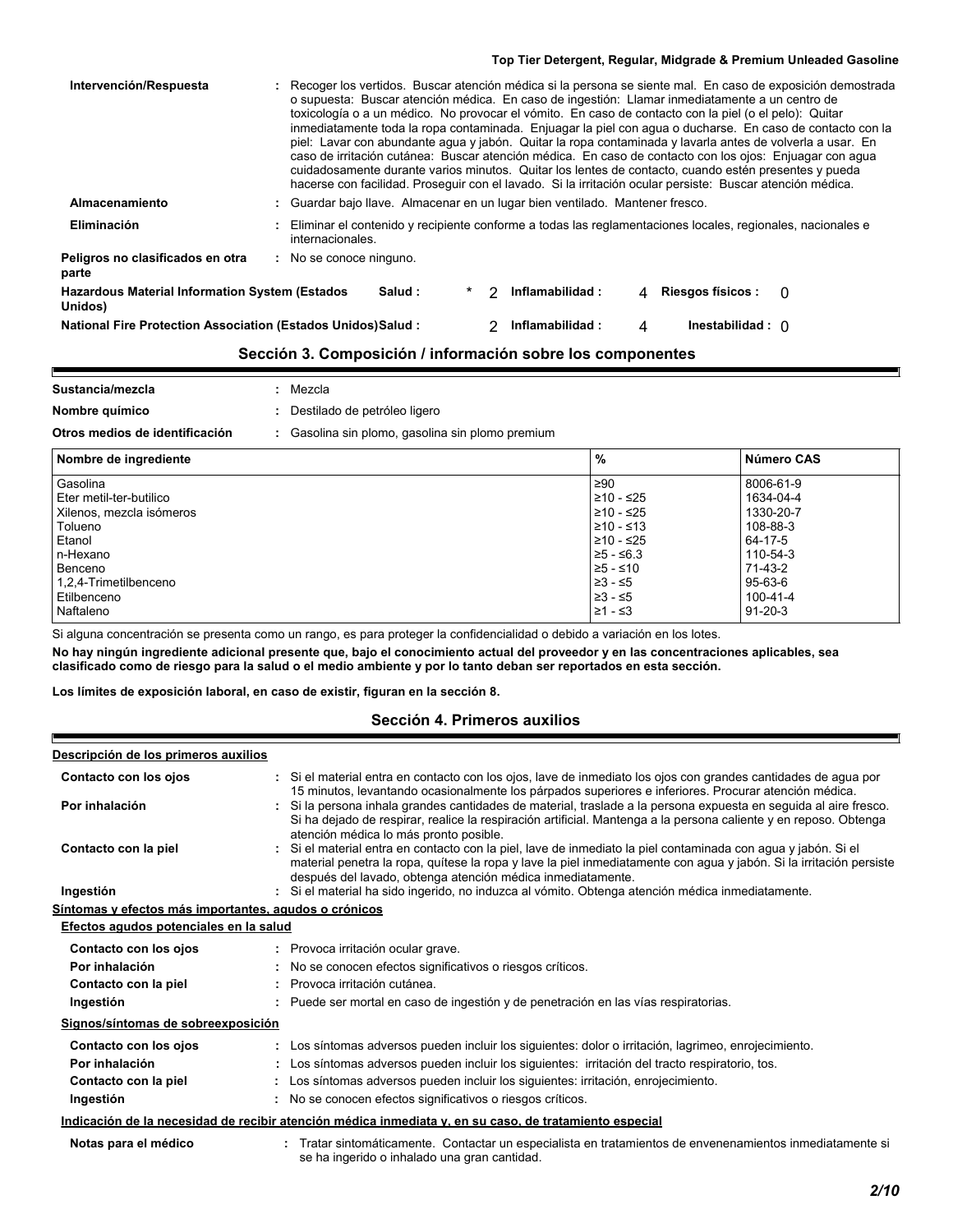| Intervención/Respuesta                                             | : Recoger los vertidos. Buscar atención médica si la persona se siente mal. En caso de exposición demostrada<br>o supuesta: Buscar atención médica. En caso de ingestión: Llamar inmediatamente a un centro de<br>toxicología o a un médico. No provocar el vómito. En caso de contacto con la piel (o el pelo): Quitar<br>inmediatamente toda la ropa contaminada. Enjuagar la piel con agua o ducharse. En caso de contacto con la<br>piel: Lavar con abundante agua y jabón. Quitar la ropa contaminada y lavarla antes de volverla a usar. En<br>caso de irritación cutánea: Buscar atención médica. En caso de contacto con los ojos: Enjuagar con agua<br>cuidadosamente durante varios minutos. Quitar los lentes de contacto, cuando estén presentes y pueda<br>hacerse con facilidad. Proseguir con el lavado. Si la irritación ocular persiste: Buscar atención médica. |
|--------------------------------------------------------------------|-----------------------------------------------------------------------------------------------------------------------------------------------------------------------------------------------------------------------------------------------------------------------------------------------------------------------------------------------------------------------------------------------------------------------------------------------------------------------------------------------------------------------------------------------------------------------------------------------------------------------------------------------------------------------------------------------------------------------------------------------------------------------------------------------------------------------------------------------------------------------------------|
| Almacenamiento                                                     | : Guardar bajo llave. Almacenar en un lugar bien ventilado. Mantener fresco.                                                                                                                                                                                                                                                                                                                                                                                                                                                                                                                                                                                                                                                                                                                                                                                                      |
| Eliminación                                                        | : Eliminar el contenido y recipiente conforme a todas las reglamentaciones locales, regionales, nacionales e<br>internacionales.                                                                                                                                                                                                                                                                                                                                                                                                                                                                                                                                                                                                                                                                                                                                                  |
| Peligros no clasificados en otra<br>parte                          | : No se conoce ninguno.                                                                                                                                                                                                                                                                                                                                                                                                                                                                                                                                                                                                                                                                                                                                                                                                                                                           |
| <b>Hazardous Material Information System (Estados</b><br>Unidos)   | <b>Riesgos físicos:</b><br>Salud :<br>Inflamabilidad:<br>2<br>$\Omega$<br>4                                                                                                                                                                                                                                                                                                                                                                                                                                                                                                                                                                                                                                                                                                                                                                                                       |
| <b>National Fire Protection Association (Estados Unidos)Salud:</b> | Inflamabilidad:<br>Inestabilidad : $\cap$<br>Δ                                                                                                                                                                                                                                                                                                                                                                                                                                                                                                                                                                                                                                                                                                                                                                                                                                    |

### **Sección 3. Composición / información sobre los componentes**

| Sustancia/mezcla                                                                 |  | Mezcla                       |           |            |
|----------------------------------------------------------------------------------|--|------------------------------|-----------|------------|
| Nombre químico                                                                   |  | Destilado de petróleo ligero |           |            |
| Otros medios de identificación<br>Gasolina sin plomo, gasolina sin plomo premium |  |                              |           |            |
| Nombre de ingrediente                                                            |  |                              | %         | Número CAS |
| Gasolina                                                                         |  |                              | $\geq 90$ | 8006-61-9  |

| Gasolina                 | ≥90         | 8006-61-9     |
|--------------------------|-------------|---------------|
| Eter metil-ter-butilico  | 1210 - ≤25  | 1634-04-4     |
| Xilenos, mezcla isómeros | ≥10 - ≤25   | 1330-20-7     |
| Tolueno                  | 1≥10 - ≤13  | 108-88-3      |
| l Etanol                 | 210 - ≤25   | 64-17-5       |
| In-Hexano                | $≥5 - ≤6.3$ | 110-54-3      |
| Benceno                  | $≥5 - ≤10$  | 71-43-2       |
| 1,2,4-Trimetilbenceno    | 23 - ≤5     | 95-63-6       |
| l Etilbenceno            | ≥3 - ≤5     | 100-41-4      |
| Naftaleno                | $≥1 - ≤3$   | $91 - 20 - 3$ |
|                          |             |               |

Si alguna concentración se presenta como un rango, es para proteger la confidencialidad o debido a variación en los lotes.

**No hay ningún ingrediente adicional presente que, bajo el conocimiento actual del proveedor y en las concentraciones aplicables, sea clasificado como de riesgo para la salud o el medio ambiente y por lo tanto deban ser reportados en esta sección.**

**Los límites de exposición laboral, en caso de existir, figuran en la sección 8.**

### **Sección 4. Primeros auxilios**

#### **Descripción de los primeros auxilios**

 $\blacksquare$ 

| Contacto con los ojos                                 | : Si el material entra en contacto con los ojos, lave de inmediato los ojos con grandes cantidades de agua por<br>15 minutos, levantando ocasionalmente los párpados superiores e inferiores. Procurar atención médica.                                                                             |
|-------------------------------------------------------|-----------------------------------------------------------------------------------------------------------------------------------------------------------------------------------------------------------------------------------------------------------------------------------------------------|
| Por inhalación                                        | : Si la persona inhala grandes cantidades de material, traslade a la persona expuesta en seguida al aire fresco.<br>Si ha dejado de respirar, realice la respiración artificial. Mantenga a la persona caliente y en reposo. Obtenga<br>atención médica lo más pronto posible.                      |
| Contacto con la piel                                  | : Si el material entra en contacto con la piel, lave de inmediato la piel contaminada con agua y jabón. Si el<br>material penetra la ropa, quítese la ropa y lave la piel inmediatamente con agua y jabón. Si la irritación persiste<br>después del lavado, obtenga atención médica inmediatamente. |
| Ingestión                                             | : Si el material ha sido ingerido, no induzca al vómito. Obtenga atención médica inmediatamente.                                                                                                                                                                                                    |
| Síntomas y efectos más importantes, agudos o crónicos |                                                                                                                                                                                                                                                                                                     |
| Efectos agudos potenciales en la salud                |                                                                                                                                                                                                                                                                                                     |
| Contacto con los ojos                                 | : Provoca irritación ocular grave.                                                                                                                                                                                                                                                                  |
| Por inhalación                                        | : No se conocen efectos significativos o riesgos críticos.                                                                                                                                                                                                                                          |
| Contacto con la piel                                  | : Provoca irritación cutánea.                                                                                                                                                                                                                                                                       |
| Ingestión                                             | : Puede ser mortal en caso de ingestión y de penetración en las vías respiratorias.                                                                                                                                                                                                                 |
| Signos/síntomas de sobreexposición                    |                                                                                                                                                                                                                                                                                                     |
| Contacto con los ojos                                 | : Los síntomas adversos pueden incluir los siguientes: dolor o irritación, lagrimeo, enrojecimiento.                                                                                                                                                                                                |
| Por inhalación                                        | : Los síntomas adversos pueden incluir los siguientes: irritación del tracto respiratorio, tos.                                                                                                                                                                                                     |
| Contacto con la piel                                  | : Los síntomas adversos pueden incluir los siguientes: irritación, enrojecimiento.                                                                                                                                                                                                                  |
| Ingestión                                             | No se conocen efectos significativos o riesgos críticos.                                                                                                                                                                                                                                            |
|                                                       | Indicación de la necesidad de recibir atención médica inmediata y, en su caso, de tratamiento especial                                                                                                                                                                                              |
| Notas para el médico                                  | Tratar sintomáticamente. Contactar un especialista en tratamientos de envenenamientos inmediatamente si<br>se ha ingerido o inhalado una gran cantidad.                                                                                                                                             |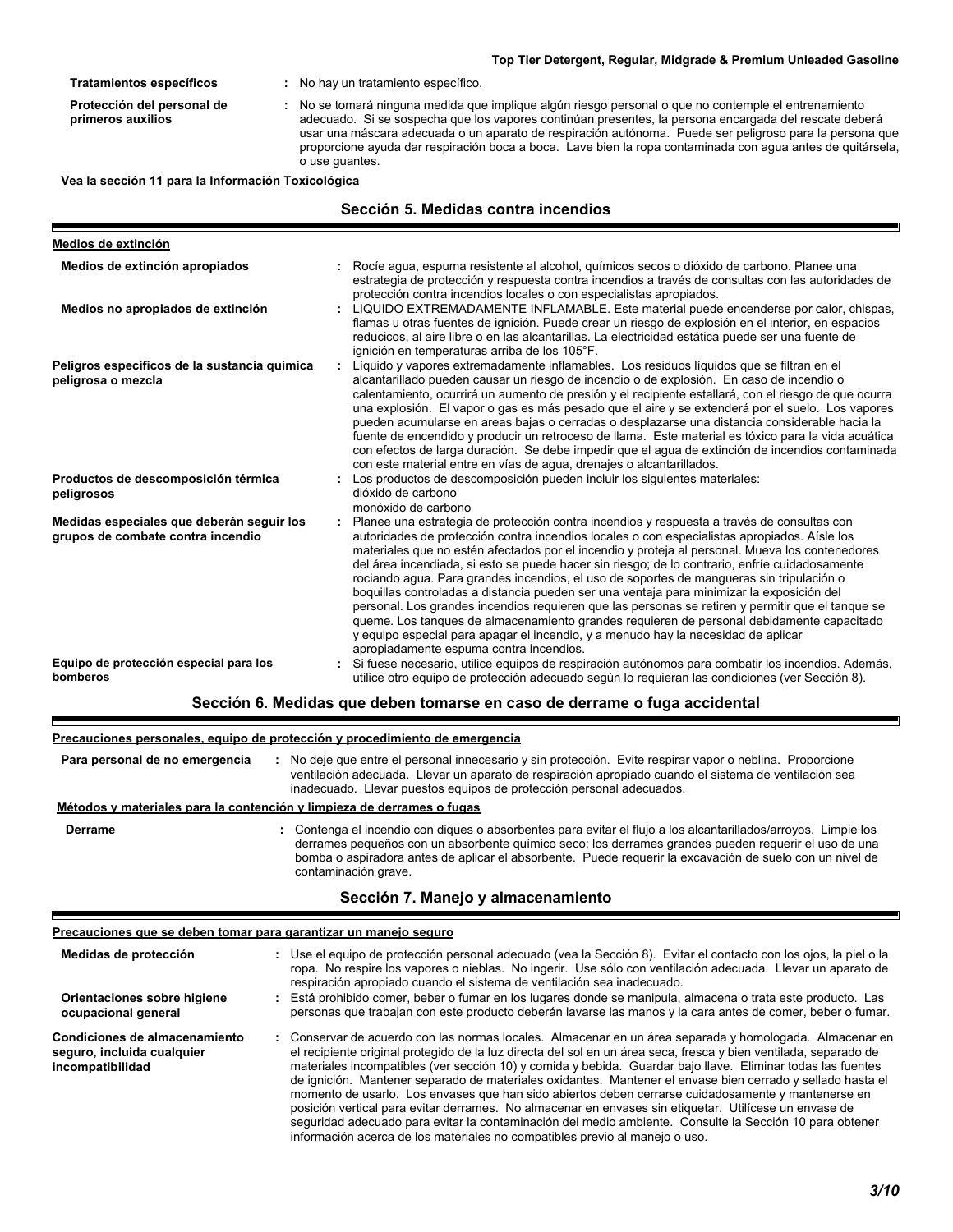|                                                                                | Top Tier Detergent, Regular, Midgrade & Premium Unleaded Gasoline                                                                                                                                                                                                                                                                                                                                                                                                                                                                                                                                                                                                                                                                                                                                                                                                                                                          |
|--------------------------------------------------------------------------------|----------------------------------------------------------------------------------------------------------------------------------------------------------------------------------------------------------------------------------------------------------------------------------------------------------------------------------------------------------------------------------------------------------------------------------------------------------------------------------------------------------------------------------------------------------------------------------------------------------------------------------------------------------------------------------------------------------------------------------------------------------------------------------------------------------------------------------------------------------------------------------------------------------------------------|
| <b>Tratamientos específicos</b>                                                | : No hay un tratamiento específico.                                                                                                                                                                                                                                                                                                                                                                                                                                                                                                                                                                                                                                                                                                                                                                                                                                                                                        |
| Protección del personal de<br>primeros auxilios                                | No se tomará ninguna medida que implique algún riesgo personal o que no contemple el entrenamiento<br>adecuado. Si se sospecha que los vapores continúan presentes, la persona encargada del rescate deberá<br>usar una máscara adecuada o un aparato de respiración autónoma. Puede ser peligroso para la persona que<br>proporcione ayuda dar respiración boca a boca. Lave bien la ropa contaminada con agua antes de quitársela,<br>o use guantes.                                                                                                                                                                                                                                                                                                                                                                                                                                                                     |
| Vea la sección 11 para la Información Toxicológica                             |                                                                                                                                                                                                                                                                                                                                                                                                                                                                                                                                                                                                                                                                                                                                                                                                                                                                                                                            |
|                                                                                | Sección 5. Medidas contra incendios                                                                                                                                                                                                                                                                                                                                                                                                                                                                                                                                                                                                                                                                                                                                                                                                                                                                                        |
| Medios de extinción                                                            |                                                                                                                                                                                                                                                                                                                                                                                                                                                                                                                                                                                                                                                                                                                                                                                                                                                                                                                            |
| Medios de extinción apropiados                                                 | Rocíe agua, espuma resistente al alcohol, químicos secos o dióxido de carbono. Planee una<br>estrategia de protección y respuesta contra incendios a través de consultas con las autoridades de<br>protección contra incendios locales o con especialistas apropiados.                                                                                                                                                                                                                                                                                                                                                                                                                                                                                                                                                                                                                                                     |
| Medios no apropiados de extinción                                              | LIQUIDO EXTREMADAMENTE INFLAMABLE. Este material puede encenderse por calor, chispas,<br>flamas u otras fuentes de ignición. Puede crear un riesgo de explosión en el interior, en espacios<br>reducicos, al aire libre o en las alcantarillas. La electricidad estática puede ser una fuente de<br>ignición en temperaturas arriba de los 105°F.                                                                                                                                                                                                                                                                                                                                                                                                                                                                                                                                                                          |
| Peligros específicos de la sustancia química<br>peligrosa o mezcla             | Líquido y vapores extremadamente inflamables. Los residuos líquidos que se filtran en el<br>alcantarillado pueden causar un riesgo de incendio o de explosión. En caso de incendio o<br>calentamiento, ocurrirá un aumento de presión y el recipiente estallará, con el riesgo de que ocurra<br>una explosión. El vapor o gas es más pesado que el aire y se extenderá por el suelo. Los vapores<br>pueden acumularse en areas bajas o cerradas o desplazarse una distancia considerable hacia la<br>fuente de encendido y producir un retroceso de llama. Este material es tóxico para la vida acuática<br>con efectos de larga duración. Se debe impedir que el agua de extinción de incendios contaminada<br>con este material entre en vías de agua, drenajes o alcantarillados.                                                                                                                                       |
| Productos de descomposición térmica<br>peligrosos                              | Los productos de descomposición pueden incluir los siguientes materiales:<br>dióxido de carbono<br>monóxido de carbono                                                                                                                                                                                                                                                                                                                                                                                                                                                                                                                                                                                                                                                                                                                                                                                                     |
| Medidas especiales que deberán seguir los<br>grupos de combate contra incendio | Planee una estrategia de protección contra incendios y respuesta a través de consultas con<br>autoridades de protección contra incendios locales o con especialistas apropiados. Aísle los<br>materiales que no estén afectados por el incendio y proteja al personal. Mueva los contenedores<br>del área incendiada, si esto se puede hacer sin riesgo; de lo contrario, enfríe cuidadosamente<br>rociando agua. Para grandes incendios, el uso de soportes de mangueras sin tripulación o<br>boquillas controladas a distancia pueden ser una ventaja para minimizar la exposición del<br>personal. Los grandes incendios requieren que las personas se retiren y permitir que el tanque se<br>queme. Los tanques de almacenamiento grandes requieren de personal debidamente capacitado<br>y equipo especial para apagar el incendio, y a menudo hay la necesidad de aplicar<br>apropiadamente espuma contra incendios. |
| Equipo de protección especial para los<br>bomberos                             | Si fuese necesario, utilice equipos de respiración autónomos para combatir los incendios. Además,<br>utilice otro equipo de protección adecuado según lo requieran las condiciones (ver Sección 8).                                                                                                                                                                                                                                                                                                                                                                                                                                                                                                                                                                                                                                                                                                                        |

### **Sección 6. Medidas que deben tomarse en caso de derrame o fuga accidental**

### **Precauciones personales, equipo de protección y procedimiento de emergencia**

F

E

| Para personal de no emergencia                                         | : No deje que entre el personal innecesario y sin protección. Evite respirar vapor o neblina. Proporcione<br>ventilación adecuada. Llevar un aparato de respiración apropiado cuando el sistema de ventilación sea<br>inadecuado. Llevar puestos equipos de protección personal adecuados.                                                                 |
|------------------------------------------------------------------------|------------------------------------------------------------------------------------------------------------------------------------------------------------------------------------------------------------------------------------------------------------------------------------------------------------------------------------------------------------|
| Métodos y materiales para la contención y limpieza de derrames o fugas |                                                                                                                                                                                                                                                                                                                                                            |
| <b>Derrame</b>                                                         | : Contenga el incendio con diques o absorbentes para evitar el flujo a los alcantarillados/arroyos. Limpie los<br>derrames pequeños con un absorbente químico seco; los derrames grandes pueden requerir el uso de una<br>bomba o aspiradora antes de aplicar el absorbente. Puede requerir la excavación de suelo con un nivel de<br>contaminación grave. |

### **Sección 7. Manejo y almacenamiento**

### Precauciones que se deben tomar para garantizar un manejo seguro

| Medidas de protección<br>Orientaciones sobre higiene<br>ocupacional general     | : Use el equipo de protección personal adecuado (vea la Sección 8). Evitar el contacto con los ojos, la piel o la<br>ropa. No respire los vapores o nieblas. No ingerir. Use sólo con ventilación adecuada. Llevar un aparato de<br>respiración apropiado cuando el sistema de ventilación sea inadecuado.<br>Está prohibido comer, beber o fumar en los lugares donde se manipula, almacena o trata este producto. Las<br>personas que trabajan con este producto deberán lavarse las manos y la cara antes de comer, beber o fumar.                                                                                                                                                                                                                                                                                                                             |
|---------------------------------------------------------------------------------|-------------------------------------------------------------------------------------------------------------------------------------------------------------------------------------------------------------------------------------------------------------------------------------------------------------------------------------------------------------------------------------------------------------------------------------------------------------------------------------------------------------------------------------------------------------------------------------------------------------------------------------------------------------------------------------------------------------------------------------------------------------------------------------------------------------------------------------------------------------------|
| Condiciones de almacenamiento<br>seguro, incluida cualquier<br>incompatibilidad | : Conservar de acuerdo con las normas locales. Almacenar en un área separada y homologada. Almacenar en<br>el recipiente original protegido de la luz directa del sol en un área seca, fresca y bien ventilada, separado de<br>materiales incompatibles (ver sección 10) y comida y bebida. Guardar bajo llave. Eliminar todas las fuentes<br>de ignición. Mantener separado de materiales oxidantes. Mantener el envase bien cerrado y sellado hasta el<br>momento de usarlo. Los envases que han sido abiertos deben cerrarse cuidadosamente y mantenerse en<br>posición vertical para evitar derrames. No almacenar en envases sin etiquetar. Utilícese un envase de<br>seguridad adecuado para evitar la contaminación del medio ambiente. Consulte la Sección 10 para obtener<br>información acerca de los materiales no compatibles previo al manejo o uso. |

٠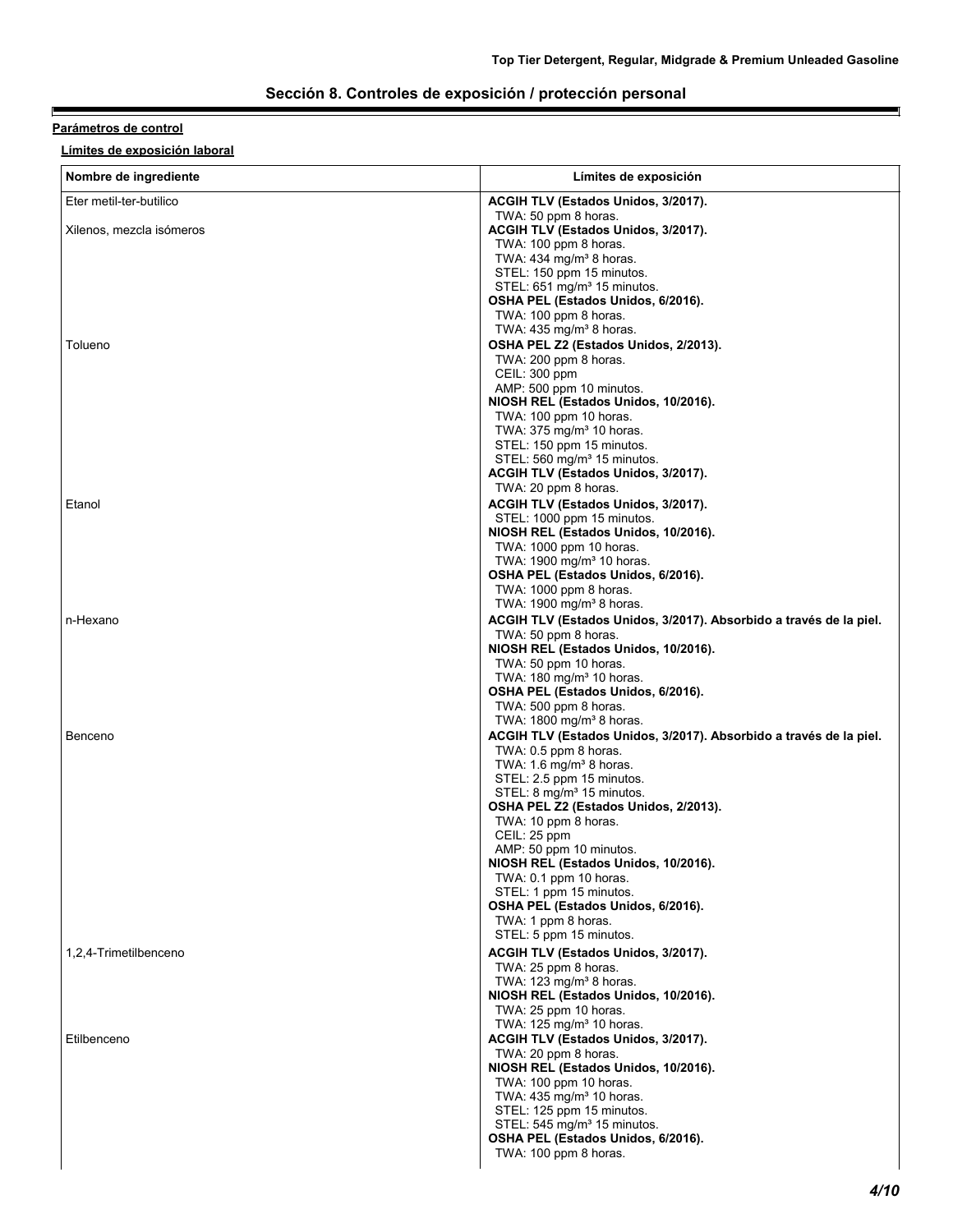### **Sección 8. Controles de exposición / protección personal**

### **Parámetros de control**

E

**Límites de exposición laboral**

| Nombre de ingrediente    | Límites de exposición                                                                      |
|--------------------------|--------------------------------------------------------------------------------------------|
| Eter metil-ter-butilico  | ACGIH TLV (Estados Unidos, 3/2017).                                                        |
| Xilenos, mezcla isómeros | TWA: 50 ppm 8 horas.<br>ACGIH TLV (Estados Unidos, 3/2017).<br>TWA: 100 ppm 8 horas.       |
|                          | TWA: 434 mg/m <sup>3</sup> 8 horas.<br>STEL: 150 ppm 15 minutos.                           |
|                          | STEL: 651 mg/m <sup>3</sup> 15 minutos.                                                    |
|                          | OSHA PEL (Estados Unidos, 6/2016).<br>TWA: 100 ppm 8 horas.                                |
|                          | TWA: $435 \text{ mg/m}^3$ 8 horas.                                                         |
| Tolueno                  | OSHA PEL Z2 (Estados Unidos, 2/2013).<br>TWA: 200 ppm 8 horas.                             |
|                          | CEIL: 300 ppm                                                                              |
|                          | AMP: 500 ppm 10 minutos.<br>NIOSH REL (Estados Unidos, 10/2016).                           |
|                          | TWA: 100 ppm 10 horas.                                                                     |
|                          | TWA: $375 \text{ mg/m}^3$ 10 horas.<br>STEL: 150 ppm 15 minutos.                           |
|                          | STEL: 560 mg/m <sup>3</sup> 15 minutos.                                                    |
|                          | ACGIH TLV (Estados Unidos, 3/2017).<br>TWA: 20 ppm 8 horas.                                |
| Etanol                   | ACGIH TLV (Estados Unidos, 3/2017).                                                        |
|                          | STEL: 1000 ppm 15 minutos.                                                                 |
|                          | NIOSH REL (Estados Unidos, 10/2016).<br>TWA: 1000 ppm 10 horas.                            |
|                          | TWA: 1900 mg/m <sup>3</sup> 10 horas.                                                      |
|                          | OSHA PEL (Estados Unidos, 6/2016).<br>TWA: 1000 ppm 8 horas.                               |
|                          | TWA: 1900 mg/m <sup>3</sup> 8 horas.                                                       |
| n-Hexano                 | ACGIH TLV (Estados Unidos, 3/2017). Absorbido a través de la piel.<br>TWA: 50 ppm 8 horas. |
|                          | NIOSH REL (Estados Unidos, 10/2016).                                                       |
|                          | TWA: 50 ppm 10 horas.<br>TWA: 180 mg/m <sup>3</sup> 10 horas.                              |
|                          | OSHA PEL (Estados Unidos, 6/2016).                                                         |
|                          | TWA: 500 ppm 8 horas.<br>TWA: 1800 mg/m <sup>3</sup> 8 horas.                              |
| Benceno                  | ACGIH TLV (Estados Unidos, 3/2017). Absorbido a través de la piel.                         |
|                          | TWA: 0.5 ppm 8 horas.                                                                      |
|                          | TWA: 1.6 mg/m <sup>3</sup> 8 horas.<br>STEL: 2.5 ppm 15 minutos.                           |
|                          | STEL: 8 mg/m <sup>3</sup> 15 minutos.                                                      |
|                          | OSHA PEL Z2 (Estados Unidos, 2/2013).<br>TWA: 10 ppm 8 horas.                              |
|                          | CEIL: 25 ppm                                                                               |
|                          | AMP: 50 ppm 10 minutos.<br>NIOSH REL (Estados Unidos, 10/2016).                            |
|                          | TWA: 0.1 ppm 10 horas.                                                                     |
|                          | STEL: 1 ppm 15 minutos.<br>OSHA PEL (Estados Unidos, 6/2016).                              |
|                          | TWA: 1 ppm 8 horas.                                                                        |
| 1,2,4-Trimetilbenceno    | STEL: 5 ppm 15 minutos.<br>ACGIH TLV (Estados Unidos, 3/2017).                             |
|                          | TWA: 25 ppm 8 horas.                                                                       |
|                          | TWA: $123$ mg/m <sup>3</sup> 8 horas.<br>NIOSH REL (Estados Unidos, 10/2016).              |
|                          | TWA: 25 ppm 10 horas.                                                                      |
| Etilbenceno              | TWA: 125 mg/m <sup>3</sup> 10 horas.<br><b>ACGIH TLV (Estados Unidos, 3/2017).</b>         |
|                          | TWA: 20 ppm 8 horas.                                                                       |
|                          | NIOSH REL (Estados Unidos, 10/2016).                                                       |
|                          | TWA: 100 ppm 10 horas.<br>TWA: 435 mg/m <sup>3</sup> 10 horas.                             |
|                          | STEL: 125 ppm 15 minutos.                                                                  |
|                          | STEL: 545 mg/m <sup>3</sup> 15 minutos.<br>OSHA PEL (Estados Unidos, 6/2016).              |
|                          | TWA: 100 ppm 8 horas.                                                                      |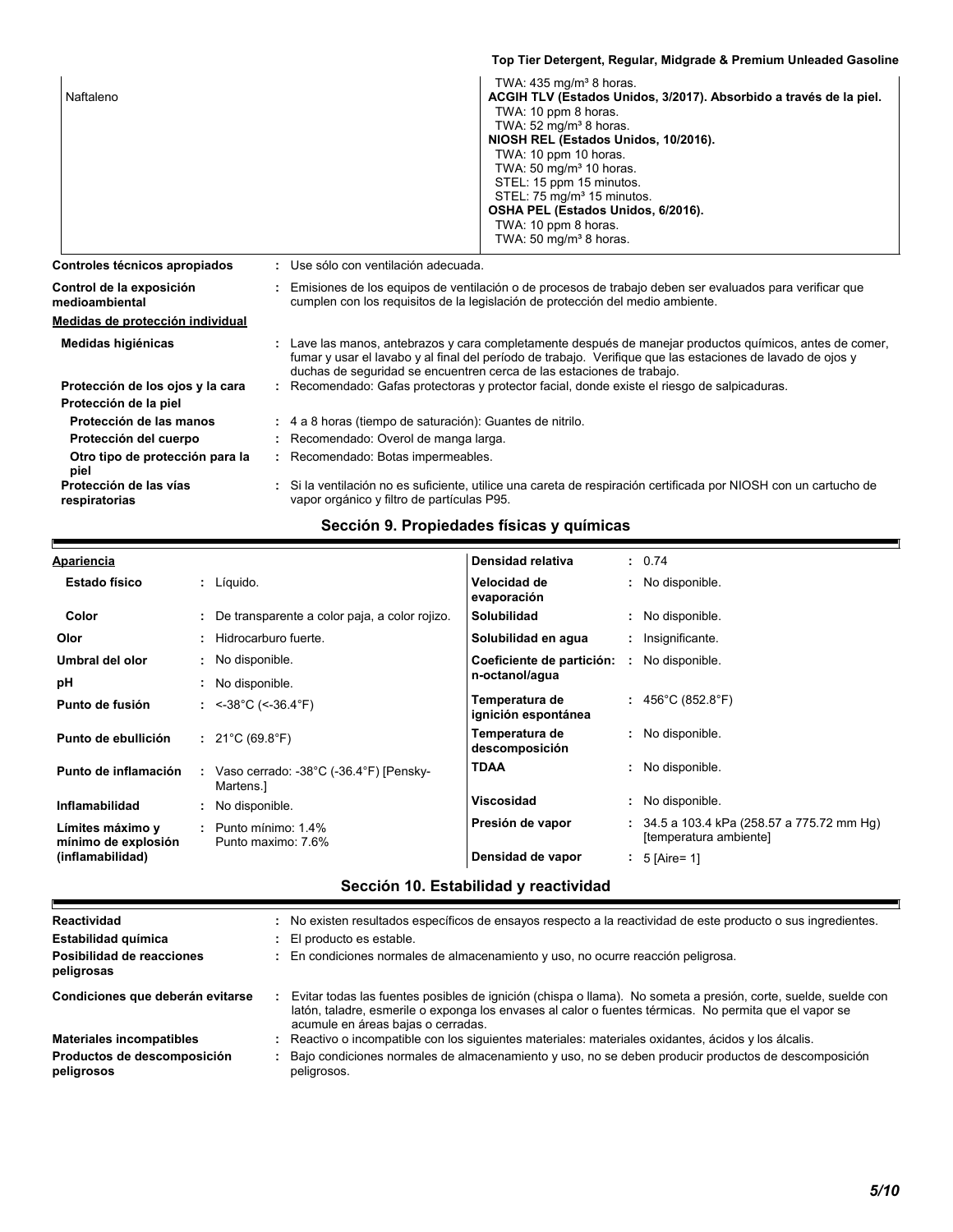|                                            | Top Tier Detergent, Regular, Midgrade & Premium Unleaded Gasoline                                                                                                                                                                                                                                                                                                                                                                                        |
|--------------------------------------------|----------------------------------------------------------------------------------------------------------------------------------------------------------------------------------------------------------------------------------------------------------------------------------------------------------------------------------------------------------------------------------------------------------------------------------------------------------|
| Naftaleno                                  | TWA: 435 mg/m <sup>3</sup> 8 horas.<br>ACGIH TLV (Estados Unidos, 3/2017). Absorbido a través de la piel.<br>TWA: 10 ppm 8 horas.<br>TWA: $52 \text{ mg/m}^3$ 8 horas.<br>NIOSH REL (Estados Unidos, 10/2016).<br>TWA: 10 ppm 10 horas.<br>TWA: 50 mg/m <sup>3</sup> 10 horas.<br>STEL: 15 ppm 15 minutos.<br>STEL: 75 mg/m <sup>3</sup> 15 minutos.<br>OSHA PEL (Estados Unidos, 6/2016).<br>TWA: 10 ppm 8 horas.<br>TWA: 50 mg/m <sup>3</sup> 8 horas. |
| Controles técnicos apropiados              | : Use sólo con ventilación adecuada.                                                                                                                                                                                                                                                                                                                                                                                                                     |
| Control de la exposición<br>medioambiental | Emisiones de los equipos de ventilación o de procesos de trabajo deben ser evaluados para verificar que<br>cumplen con los requisitos de la legislación de protección del medio ambiente.                                                                                                                                                                                                                                                                |
| Medidas de protección individual           |                                                                                                                                                                                                                                                                                                                                                                                                                                                          |
| Medidas higiénicas                         | Lave las manos, antebrazos y cara completamente después de manejar productos químicos, antes de comer,<br>fumar y usar el lavabo y al final del período de trabajo. Verifique que las estaciones de lavado de ojos y<br>duchas de seguridad se encuentren cerca de las estaciones de trabajo.                                                                                                                                                            |
| Protección de los ojos y la cara           | Recomendado: Gafas protectoras y protector facial, donde existe el riesgo de salpicaduras.                                                                                                                                                                                                                                                                                                                                                               |
| Protección de la piel                      |                                                                                                                                                                                                                                                                                                                                                                                                                                                          |
| Protección de las manos                    | : 4 a 8 horas (tiempo de saturación): Guantes de nitrilo.                                                                                                                                                                                                                                                                                                                                                                                                |
| Protección del cuerpo                      | : Recomendado: Overol de manga larga.                                                                                                                                                                                                                                                                                                                                                                                                                    |
| Otro tipo de protección para la<br>piel    | : Recomendado: Botas impermeables.                                                                                                                                                                                                                                                                                                                                                                                                                       |
| Protección de las vías<br>respiratorias    | Si la ventilación no es suficiente, utilice una careta de respiración certificada por NIOSH con un cartucho de<br>vapor orgánico y filtro de partículas P95.                                                                                                                                                                                                                                                                                             |
|                                            |                                                                                                                                                                                                                                                                                                                                                                                                                                                          |

### **Sección 9. Propiedades físicas y químicas**

| <b>Apariencia</b>                       | Densidad relativa<br>: 0.74                                                                  |                                                                        |
|-----------------------------------------|----------------------------------------------------------------------------------------------|------------------------------------------------------------------------|
| <b>Estado físico</b>                    | Velocidad de<br>: No disponible.<br>: Líquido.<br>evaporación                                |                                                                        |
| Color                                   | Solubilidad<br>: No disponible.<br>: De transparente a color paja, a color rojizo.           |                                                                        |
| Olor                                    | : Hidrocarburo fuerte.<br>Solubilidad en agua<br>Insignificante.                             |                                                                        |
| Umbral del olor                         | $\cdot$ No disponible.<br>Coeficiente de partición: :                                        | No disponible.                                                         |
| рH                                      | n-octanol/agua<br>: No disponible.                                                           |                                                                        |
| Punto de fusión                         | Temperatura de<br>: <-38°C (<-36.4°F)<br>ignición espontánea                                 | : $456^{\circ}$ C (852.8 $^{\circ}$ F)                                 |
| Punto de ebullición                     | Temperatura de<br>: No disponible.<br>: $21^{\circ}$ C (69.8 $^{\circ}$ F)<br>descomposición |                                                                        |
| Punto de inflamación                    | <b>TDAA</b><br>: No disponible.<br>Vaso cerrado: -38°C (-36.4°F) [Pensky-<br>Martens.        |                                                                        |
| Inflamabilidad                          | <b>Viscosidad</b><br>: No disponible.<br>: No disponible.                                    |                                                                        |
| Límites máximo y<br>mínimo de explosión | Presión de vapor<br>$:$ Punto mínimo: 1.4%<br>Punto maximo: 7.6%                             | $: 34.5$ a 103.4 kPa (258.57 a 775.72 mm Hg)<br>[temperatura ambiente] |
| (inflamabilidad)                        | Densidad de vapor<br>5 [Aire= 1]                                                             |                                                                        |

## **Sección 10. Estabilidad y reactividad**

| Reactividad                               | : No existen resultados específicos de ensayos respecto a la reactividad de este producto o sus ingredientes.                                                                                                                                                  |
|-------------------------------------------|----------------------------------------------------------------------------------------------------------------------------------------------------------------------------------------------------------------------------------------------------------------|
| Estabilidad química                       | : El producto es estable.                                                                                                                                                                                                                                      |
| Posibilidad de reacciones<br>peligrosas   | : En condiciones normales de almacenamiento y uso, no ocurre reacción peligrosa.                                                                                                                                                                               |
| Condiciones que deberán evitarse          | Evitar todas las fuentes posibles de ignición (chispa o llama). No someta a presión, corte, suelde, suelde con<br>latón, taladre, esmerile o exponga los envases al calor o fuentes térmicas. No permita que el vapor se<br>acumule en áreas bajas o cerradas. |
| <b>Materiales incompatibles</b>           | : Reactivo o incompatible con los siguientes materiales: materiales oxidantes, ácidos y los álcalis.                                                                                                                                                           |
| Productos de descomposición<br>peligrosos | : Bajo condiciones normales de almacenamiento y uso, no se deben producir productos de descomposición<br>peligrosos.                                                                                                                                           |
|                                           |                                                                                                                                                                                                                                                                |

q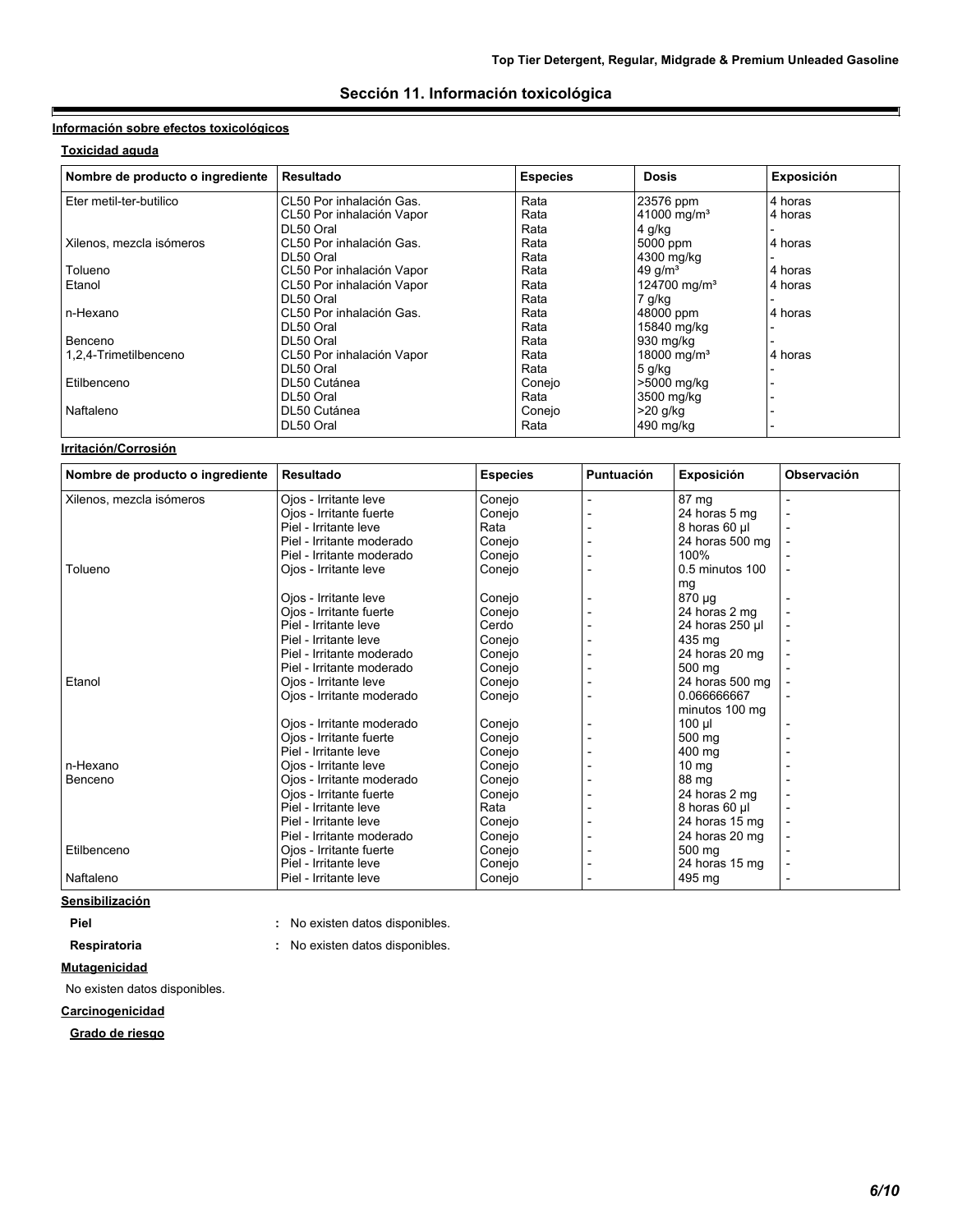### **Sección 11. Información toxicológica**

### **Información sobre efectos toxicológicos**

### **Toxicidad aguda**

E

| Nombre de producto o ingrediente | <b>Resultado</b>          | <b>Especies</b> | <b>Dosis</b>             | Exposición |
|----------------------------------|---------------------------|-----------------|--------------------------|------------|
| Eter metil-ter-butilico          | CL50 Por inhalación Gas.  | Rata            | 23576 ppm                | 4 horas    |
|                                  | CL50 Por inhalación Vapor | Rata            | 41000 mg/m <sup>3</sup>  | 4 horas    |
|                                  | DL50 Oral                 | Rata            | 4 g/kg                   |            |
| Xilenos, mezcla isómeros         | CL50 Por inhalación Gas.  | Rata            | 5000 ppm                 | 4 horas    |
|                                  | DL50 Oral                 | Rata            | 4300 mg/kg               |            |
| Tolueno                          | CL50 Por inhalación Vapor | Rata            | 49 $q/m3$                | 4 horas    |
| Etanol                           | CL50 Por inhalación Vapor | Rata            | 124700 mg/m <sup>3</sup> | 4 horas    |
|                                  | DL50 Oral                 | Rata            | 7 g/kg                   |            |
| n-Hexano                         | CL50 Por inhalación Gas.  | Rata            | 48000 ppm                | 4 horas    |
|                                  | DL50 Oral                 | Rata            | 15840 mg/kg              |            |
| Benceno                          | DL50 Oral                 | Rata            | 930 mg/kg                |            |
| 1,2,4-Trimetilbenceno            | CL50 Por inhalación Vapor | Rata            | 18000 mg/m <sup>3</sup>  | 4 horas    |
|                                  | DL50 Oral                 | Rata            | $5$ g/kg                 |            |
| Etilbenceno                      | DL50 Cutánea              | Conejo          | >5000 mg/kg              |            |
|                                  | DL50 Oral                 | Rata            | 3500 mg/kg               |            |
| Naftaleno                        | DL50 Cutánea              | Conejo          | $>20$ g/kg               |            |
|                                  | DL50 Oral                 | Rata            | 490 mg/kg                |            |

### **Irritación/Corrosión**

| Nombre de producto o ingrediente | <b>Resultado</b>          | <b>Especies</b> | <b>Puntuación</b> | Exposición       | Observación |  |
|----------------------------------|---------------------------|-----------------|-------------------|------------------|-------------|--|
| Xilenos, mezcla isómeros         | Ojos - Irritante leve     | Conejo          |                   | 87 mg            |             |  |
|                                  | Ojos - Irritante fuerte   | Conejo          |                   | 24 horas 5 mg    |             |  |
|                                  | Piel - Irritante leve     | Rata            |                   | 8 horas 60 µl    |             |  |
|                                  | Piel - Irritante moderado | Conejo          |                   | 24 horas 500 mg  |             |  |
|                                  | Piel - Irritante moderado | Conejo          |                   | 100%             |             |  |
| Tolueno                          | Ojos - Irritante leve     | Conejo          |                   | 0.5 minutos 100  |             |  |
|                                  |                           |                 |                   | mg               |             |  |
|                                  | Ojos - Irritante leve     | Conejo          |                   | 870 µg           |             |  |
|                                  | Ojos - Irritante fuerte   | Conejo          |                   | 24 horas 2 mg    |             |  |
|                                  | Piel - Irritante leve     | Cerdo           |                   | 24 horas 250 µl  |             |  |
|                                  | Piel - Irritante leve     | Conejo          |                   | 435 mg           |             |  |
|                                  | Piel - Irritante moderado | Conejo          |                   | 24 horas 20 mg   |             |  |
|                                  | Piel - Irritante moderado | Conejo          |                   | 500 mg           |             |  |
| Etanol                           | Ojos - Irritante leve     | Conejo          |                   | 24 horas 500 mg  |             |  |
|                                  | Ojos - Irritante moderado | Conejo          |                   | 0.066666667      |             |  |
|                                  |                           |                 |                   | minutos 100 mg   |             |  |
|                                  | Ojos - Irritante moderado | Conejo          |                   | $100 \mu$        |             |  |
|                                  | Ojos - Irritante fuerte   | Conejo          |                   | 500 mg           |             |  |
|                                  | Piel - Irritante leve     | Conejo          |                   | 400 mg           |             |  |
| n-Hexano                         | Oios - Irritante leve     | Conejo          |                   | 10 <sub>mg</sub> |             |  |
| <b>Benceno</b>                   | Ojos - Irritante moderado | Conejo          |                   | 88 mg            |             |  |
|                                  | Oios - Irritante fuerte   | Conejo          |                   | 24 horas 2 mg    |             |  |
|                                  | Piel - Irritante leve     | Rata            |                   | 8 horas 60 µl    |             |  |
|                                  | Piel - Irritante leve     | Conejo          |                   | 24 horas 15 mg   |             |  |
|                                  | Piel - Irritante moderado | Conejo          |                   | 24 horas 20 mg   |             |  |
| Etilbenceno                      | Ojos - Irritante fuerte   | Conejo          |                   | 500 ma           |             |  |
|                                  | Piel - Irritante leve     | Conejo          |                   | 24 horas 15 mg   |             |  |
| Naftaleno                        | Piel - Irritante leve     | Conejo          |                   | 495 mg           |             |  |

### **Sensibilización**

**Piel Piel :** No existen datos disponibles.

# **Respiratoria :** No existen datos disponibles. No existen datos disponibles.

**Mutagenicidad**

No existen datos disponibles.

### **Carcinogenicidad**

**Grado de riesgo**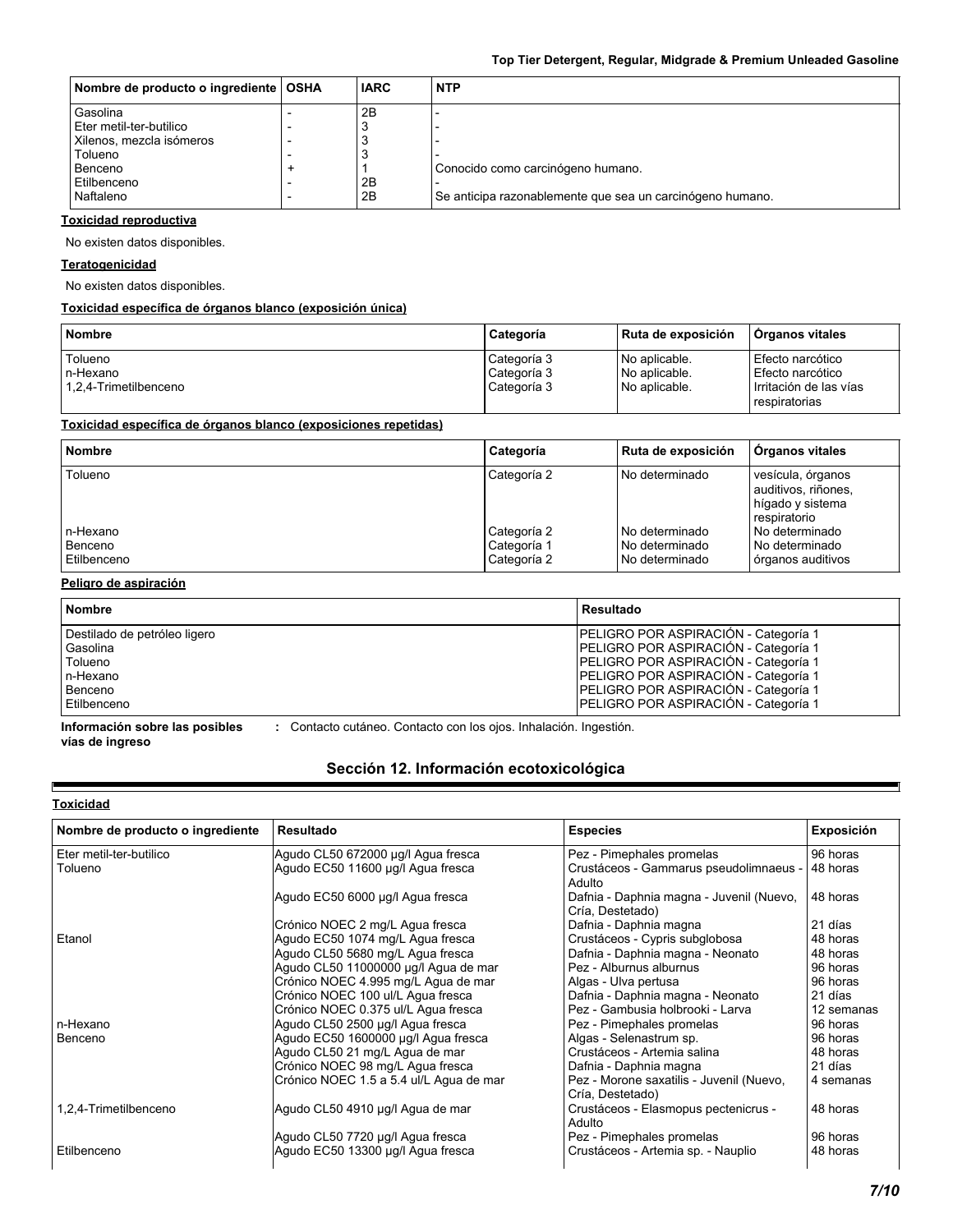| Nombre de producto o ingrediente   OSHA | <b>IARC</b> | <b>NTP</b>                                                |
|-----------------------------------------|-------------|-----------------------------------------------------------|
| Gasolina                                | 2B          |                                                           |
| Eter metil-ter-butilico                 |             |                                                           |
| Xilenos, mezcla isómeros                |             |                                                           |
| Tolueno                                 | З           |                                                           |
| Benceno                                 |             | Conocido como carcinógeno humano.                         |
| Etilbenceno                             | 2B          |                                                           |
| Naftaleno                               | 2B          | Se anticipa razonablemente que sea un carcinógeno humano. |

#### **Toxicidad reproductiva**

No existen datos disponibles.

#### **Teratogenicidad**

No existen datos disponibles.

### **Toxicidad específica de órganos blanco (exposición única)**

| <b>Nombre</b>                                 | Categoría                                 | Ruta de exposición                              | <b>Organos vitales</b>                                                          |
|-----------------------------------------------|-------------------------------------------|-------------------------------------------------|---------------------------------------------------------------------------------|
| Tolueno<br>In-Hexano<br>1.2.4-Trimetilbenceno | Categoría 3<br>Categoría 3<br>Categoría 3 | No aplicable.<br>No aplicable.<br>No aplicable. | Efecto narcótico<br>Efecto narcótico<br>Irritación de las vías<br>respiratorias |

### **Toxicidad específica de órganos blanco (exposiciones repetidas)**

| <b>Nombre</b>                      | Categoría                                 | Ruta de exposición                                   | <b>Organos vitales</b>                                                       |
|------------------------------------|-------------------------------------------|------------------------------------------------------|------------------------------------------------------------------------------|
| Tolueno                            | Categoría 2                               | l No determinado                                     | vesícula, órganos<br>auditivos, riñones,<br>hígado y sistema<br>respiratorio |
| n-Hexano<br>Benceno<br>Etilbenceno | Categoría 2<br>Categoría 1<br>Categoría 2 | l No determinado<br>No determinado<br>No determinado | No determinado<br>No determinado<br>órganos auditivos                        |

#### **Peligro de aspiración**

| <b>Nombre</b>                | Resultado                                   |
|------------------------------|---------------------------------------------|
| Destilado de petróleo ligero | PELIGRO POR ASPIRACIÓN - Categoría 1        |
| Gasolina                     | PELIGRO POR ASPIRACIÓN - Categoría 1        |
| Tolueno                      | <b>PELIGRO POR ASPIRACIÓN - Categoría 1</b> |
| n-Hexano                     | PELIGRO POR ASPIRACIÓN - Categoría 1        |
| Benceno                      | PELIGRO POR ASPIRACIÓN - Categoría 1        |
| Etilbenceno                  | <b>PELIGRO POR ASPIRACIÓN - Categoría 1</b> |

**Información sobre las posibles vías de ingreso :** Contacto cutáneo. Contacto con los ojos. Inhalación. Ingestión.

### **Sección 12. Información ecotoxicológica**

### **Toxicidad**

Е

| Nombre de producto o ingrediente | Resultado                               | <b>Especies</b>                                              | <b>Exposición</b> |
|----------------------------------|-----------------------------------------|--------------------------------------------------------------|-------------------|
| Eter metil-ter-butilico          | Agudo CL50 672000 µg/l Agua fresca      | Pez - Pimephales promelas                                    | 96 horas          |
| Tolueno                          | Agudo EC50 11600 µg/l Agua fresca       | Crustáceos - Gammarus pseudolimnaeus -<br>Adulto             | 48 horas          |
|                                  | Agudo EC50 6000 µg/l Agua fresca        | Dafnia - Daphnia magna - Juvenil (Nuevo,<br>Cría, Destetado) | 48 horas          |
|                                  | Crónico NOEC 2 mg/L Agua fresca         | Dafnia - Daphnia magna                                       | 21 días           |
| Etanol                           | Agudo EC50 1074 mg/L Agua fresca        | Crustáceos - Cypris subglobosa                               | 48 horas          |
|                                  | Agudo CL50 5680 mg/L Agua fresca        | Dafnia - Daphnia magna - Neonato                             | 48 horas          |
|                                  | Agudo CL50 11000000 µg/l Agua de mar    | Pez - Alburnus alburnus                                      | 96 horas          |
|                                  | Crónico NOEC 4.995 mg/L Agua de mar     | Algas - Ulva pertusa                                         | 96 horas          |
|                                  | Crónico NOEC 100 ul/L Agua fresca       | Dafnia - Daphnia magna - Neonato                             | 21 días           |
|                                  | Crónico NOEC 0.375 ul/L Agua fresca     | Pez - Gambusia holbrooki - Larva                             | 12 semanas        |
| n-Hexano                         | Agudo CL50 2500 µg/l Agua fresca        | Pez - Pimephales promelas                                    | 96 horas          |
| Benceno                          | Agudo EC50 1600000 µg/l Agua fresca     | Algas - Selenastrum sp.                                      | 96 horas          |
|                                  | Agudo CL50 21 mg/L Agua de mar          | Crustáceos - Artemia salina                                  | 48 horas          |
|                                  | Crónico NOEC 98 mg/L Agua fresca        | Dafnia - Daphnia magna                                       | 21 días           |
|                                  | Crónico NOEC 1.5 a 5.4 ul/L Agua de mar | Pez - Morone saxatilis - Juvenil (Nuevo,<br>Cría, Destetado) | 4 semanas         |
| 1,2,4-Trimetilbenceno            | Agudo CL50 4910 µg/l Agua de mar        | Crustáceos - Elasmopus pectenicrus -<br>Adulto               | 48 horas          |
|                                  | Agudo CL50 7720 µg/l Agua fresca        | Pez - Pimephales promelas                                    | 96 horas          |
| Etilbenceno                      | Agudo EC50 13300 µg/l Agua fresca       | Crustáceos - Artemia sp. - Nauplio                           | 48 horas          |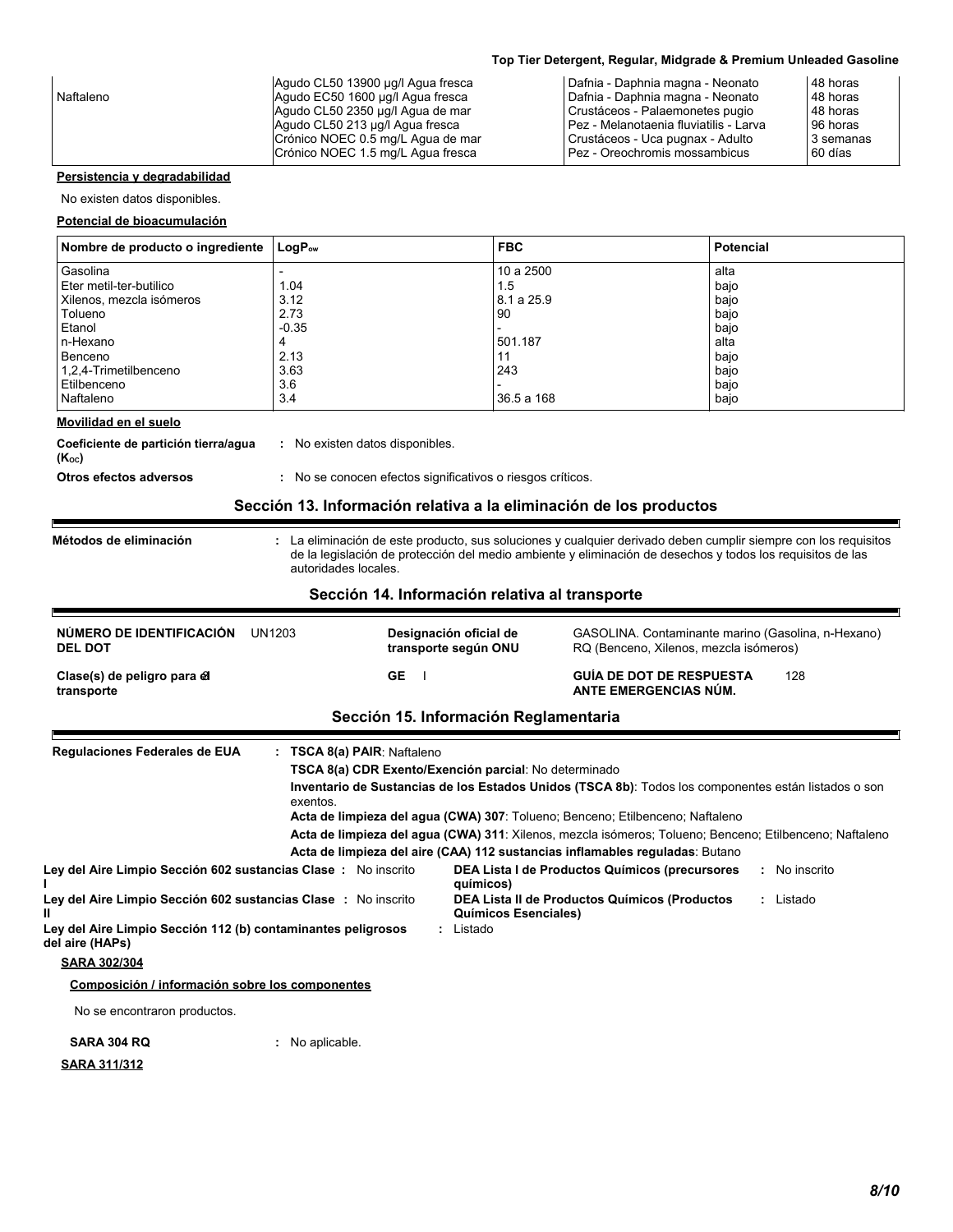|           | Agudo CL50 13900 µg/l Agua fresca | Dafnia - Daphnia magna - Neonato       | 48 horas  |
|-----------|-----------------------------------|----------------------------------------|-----------|
| Naftaleno | Agudo EC50 1600 ug/l Agua fresca  | Dafnia - Daphnia magna - Neonato       | 48 horas  |
|           | Agudo CL50 2350 µg/l Agua de mar  | Crustáceos - Palaemonetes pugio        | 48 horas  |
|           | Agudo CL50 213 µg/l Agua fresca   | Pez - Melanotaenia fluviatilis - Larva | 96 horas  |
|           | Crónico NOEC 0.5 mg/L Agua de mar | Crustáceos - Uca pugnax - Adulto       | 3 semanas |
|           | Crónico NOEC 1.5 mg/L Agua fresca | Pez - Oreochromis mossambicus          | 60 días   |
|           |                                   |                                        |           |

### **Persistencia y degradabilidad**

No existen datos disponibles.

#### **Potencial de bioacumulación**

| Nombre de producto o ingrediente | $\mathsf{LogP}_\mathsf{ow}$ | <b>FBC</b> | <b>Potencial</b> |
|----------------------------------|-----------------------------|------------|------------------|
| Gasolina                         |                             | 10a2500    | alta             |
| Eter metil-ter-butilico          | 1.04                        | 1.5        | bajo             |
| Xilenos, mezcla isómeros         | 3.12                        | 8.1 a 25.9 | bajo             |
| Tolueno                          | 2.73                        | 90         | bajo             |
| Etanol                           | $-0.35$                     |            | bajo             |
| n-Hexano                         | 4                           | 501.187    | alta             |
| Benceno                          | 2.13                        |            | bajo             |
| 1,2,4-Trimetilbenceno            | 3.63                        | 243        | bajo             |
| Etilbenceno                      | 3.6                         |            | bajo             |
| Naftaleno                        | 3.4                         | 36.5 a 168 | bajo             |
| Movilidad on al cualo            |                             |            |                  |

#### **Movilidad en el suelo**

**Coeficiente de partición tierra/agua :** No existen datos disponibles.<br>**(K**oc**)** 

**Otros efectos adversos : No se conocen efectos significativos o riesgos críticos.** 

### **Sección 13. Información relativa a la eliminación de los productos**

**Métodos de eliminación :**

Е

La eliminación de este producto, sus soluciones y cualquier derivado deben cumplir siempre con los requisitos de la legislación de protección del medio ambiente y eliminación de desechos y todos los requisitos de las autoridades locales.

#### **Sección 14. Información relativa al transporte**

| NÚMERO DE IDENTIFICACIÓN<br>UN1203<br><b>DEL DOT</b>                            |                                                                                    | Designación oficial de<br>transporte según ONU | GASOLINA. Contaminante marino (Gasolina, n-Hexano)<br>RQ (Benceno, Xilenos, mezcla isómeros)                                                                                             |               |
|---------------------------------------------------------------------------------|------------------------------------------------------------------------------------|------------------------------------------------|------------------------------------------------------------------------------------------------------------------------------------------------------------------------------------------|---------------|
| Clase(s) de peligro para el<br>transporte                                       | <b>GE</b>                                                                          |                                                | <b>GUÍA DE DOT DE RESPUESTA</b><br>ANTE EMERGENCIAS NÚM.                                                                                                                                 | 128           |
|                                                                                 |                                                                                    | Sección 15. Información Reglamentaria          |                                                                                                                                                                                          |               |
| Regulaciones Federales de EUA                                                   | TSCA 8(a) PAIR: Naftaleno<br>TSCA 8(a) CDR Exento/Exención parcial: No determinado |                                                | Inventario de Sustancias de los Estados Unidos (TSCA 8b): Todos los componentes están listados o son                                                                                     |               |
|                                                                                 | exentos.                                                                           |                                                | Acta de limpieza del agua (CWA) 307: Tolueno; Benceno; Etilbenceno; Naftaleno<br>Acta de limpieza del agua (CWA) 311: Xilenos, mezcla isómeros; Tolueno; Benceno; Etilbenceno; Naftaleno |               |
|                                                                                 |                                                                                    |                                                | Acta de limpieza del aire (CAA) 112 sustancias inflamables reguladas: Butano                                                                                                             |               |
| Ley del Aire Limpio Sección 602 sustancias Clase: No inscrito                   |                                                                                    | químicos)                                      | DEA Lista I de Productos Químicos (precursores                                                                                                                                           | : No inscrito |
| Ley del Aire Limpio Sección 602 sustancias Clase : No inscrito                  |                                                                                    | <b>Químicos Esenciales)</b>                    | DEA Lista II de Productos Químicos (Productos                                                                                                                                            | : Listado     |
| Ley del Aire Limpio Sección 112 (b) contaminantes peligrosos<br>del aire (HAPs) |                                                                                    | : Listado                                      |                                                                                                                                                                                          |               |
| <b>SARA 302/304</b>                                                             |                                                                                    |                                                |                                                                                                                                                                                          |               |
| Composición / información sobre los componentes                                 |                                                                                    |                                                |                                                                                                                                                                                          |               |
| No se encontraron productos.                                                    |                                                                                    |                                                |                                                                                                                                                                                          |               |
| <b>SARA 304 RQ</b>                                                              | No aplicable.                                                                      |                                                |                                                                                                                                                                                          |               |
| <u>SARA 311/312</u>                                                             |                                                                                    |                                                |                                                                                                                                                                                          |               |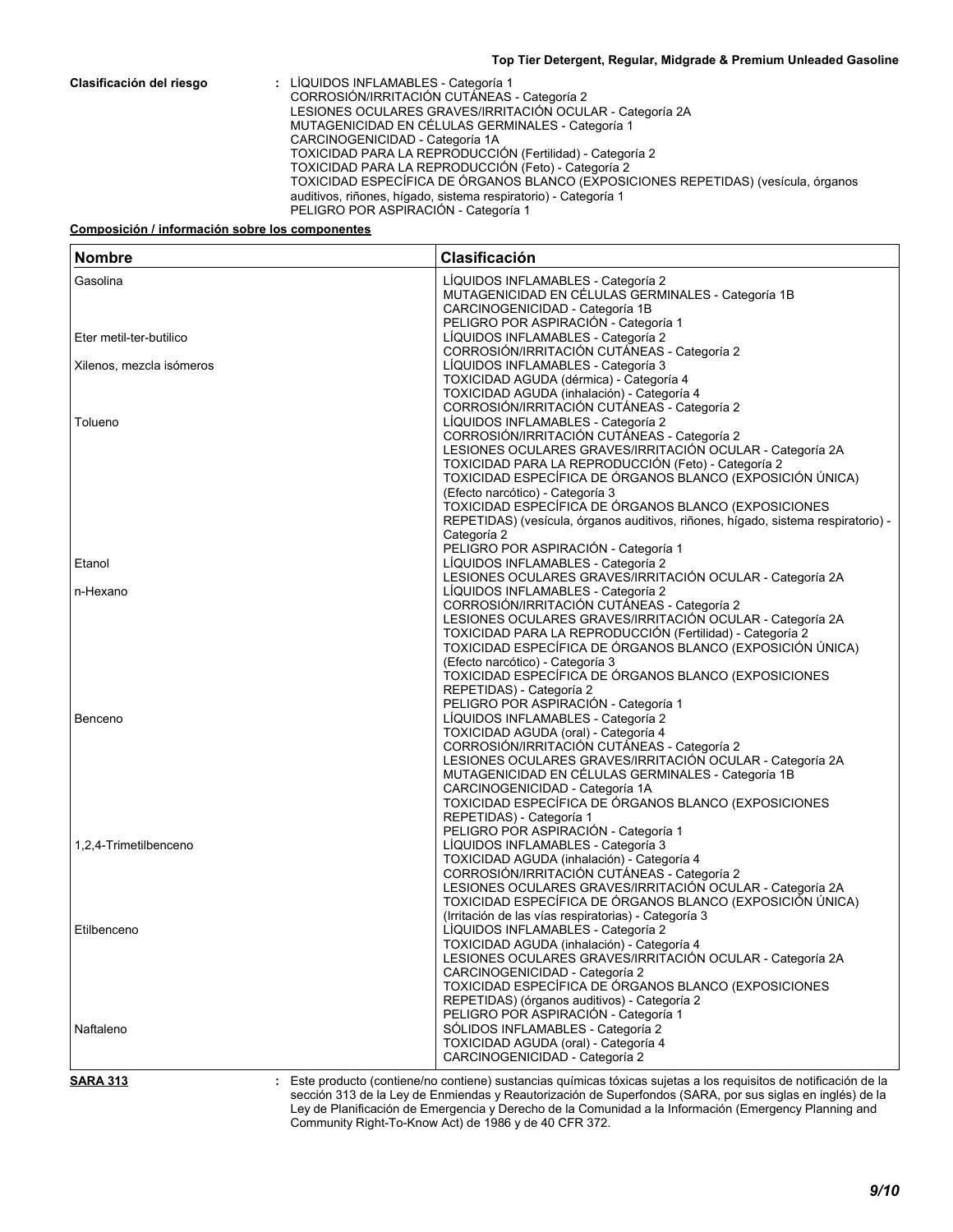**Clasificación del riesgo :** LÍQUIDOS INFLAMABLES - Categoría 1 CORROSIÓN/IRRITACIÓN CUTÁNEAS - Categoría 2 LESIONES OCULARES GRAVES/IRRITACIÓN OCULAR - Categoría 2A MUTAGENICIDAD EN CÉLULAS GERMINALES - Categoría 1 CARCINOGENICIDAD - Categoría 1A TOXICIDAD PARA LA REPRODUCCIÓN (Fertilidad) - Categoría 2 TOXICIDAD PARA LA REPRODUCCIÓN (Feto) - Categoría 2 TOXICIDAD ESPECÍFICA DE ÓRGANOS BLANCO (EXPOSICIONES REPETIDAS) (vesícula, órganos auditivos, riñones, hígado, sistema respiratorio) - Categoría 1 PELIGRO POR ASPIRACIÓN - Categoría 1

#### **Composición / información sobre los componentes**

| <b>Nombre</b>            | Clasificación                                                                                                    |
|--------------------------|------------------------------------------------------------------------------------------------------------------|
| Gasolina                 | LÍQUIDOS INFLAMABLES - Categoría 2                                                                               |
|                          | MUTAGENICIDAD EN CÉLULAS GERMINALES - Categoría 1B                                                               |
|                          | CARCINOGENICIDAD - Categoría 1B                                                                                  |
|                          | PELIGRO POR ASPIRACIÓN - Categoría 1                                                                             |
| Eter metil-ter-butilico  | LÍQUIDOS INFLAMABLES - Categoría 2                                                                               |
|                          | CORROSIÓN/IRRITACIÓN CUTÁNEAS - Categoría 2                                                                      |
| Xilenos, mezcla isómeros | LÍQUIDOS INFLAMABLES - Categoría 3                                                                               |
|                          | TOXICIDAD AGUDA (dérmica) - Categoría 4                                                                          |
|                          | TOXICIDAD AGUDA (inhalación) - Categoría 4                                                                       |
|                          | CORROSIÓN/IRRITACIÓN CUTÁNEAS - Categoría 2                                                                      |
| Tolueno                  | LÍQUIDOS INFLAMABLES - Categoría 2                                                                               |
|                          | CORROSIÓN/IRRITACIÓN CUTÁNEAS - Categoría 2                                                                      |
|                          | LESIONES OCULARES GRAVES/IRRITACIÓN OCULAR - Categoría 2A                                                        |
|                          | TOXICIDAD PARA LA REPRODUCCIÓN (Feto) - Categoría 2<br>TOXICIDAD ESPECÍFICA DE ÓRGANOS BLANCO (EXPOSICIÓN ÚNICA) |
|                          | (Efecto narcótico) - Categoría 3                                                                                 |
|                          | TOXICIDAD ESPECÍFICA DE ÓRGANOS BLANCO (EXPOSICIONES                                                             |
|                          | REPETIDAS) (vesícula, órganos auditivos, riñones, hígado, sistema respiratorio) -                                |
|                          | Categoría 2                                                                                                      |
|                          | PELIGRO POR ASPIRACIÓN - Categoría 1                                                                             |
| Etanol                   | LÍQUIDOS INFLAMABLES - Categoría 2                                                                               |
|                          | LESIONES OCULARES GRAVES/IRRITACIÓN OCULAR - Categoría 2A                                                        |
| n-Hexano                 | LIQUIDOS INFLAMABLES - Categoría 2                                                                               |
|                          | CORROSIÓN/IRRITACIÓN CUTÁNEAS - Categoría 2                                                                      |
|                          | LESIONES OCULARES GRAVES/IRRITACIÓN OCULAR - Categoría 2A                                                        |
|                          | TOXICIDAD PARA LA REPRODUCCIÓN (Fertilidad) - Categoría 2                                                        |
|                          | TOXICIDAD ESPECÍFICA DE ÓRGANOS BLANCO (EXPOSICIÓN ÚNICA)                                                        |
|                          | (Efecto narcótico) - Categoría 3<br>TOXICIDAD ESPECÍFICA DE ÓRGANOS BLANCO (EXPOSICIONES                         |
|                          |                                                                                                                  |
|                          | REPETIDAS) - Categoría 2<br>PELIGRO POR ASPIRACIÓN - Categoría 1                                                 |
| Benceno                  | LÍQUIDOS INFLAMABLES - Categoría 2                                                                               |
|                          | TOXICIDAD AGUDA (oral) - Categoría 4                                                                             |
|                          | CORROSIÓN/IRRITACIÓN CUTÁNEAS - Categoría 2                                                                      |
|                          | LESIONES OCULARES GRAVES/IRRITACIÓN OCULAR - Categoría 2A                                                        |
|                          | MUTAGENICIDAD EN CÉLULAS GERMINALES - Categoría 1B                                                               |
|                          | CARCINOGENICIDAD - Categoría 1A                                                                                  |
|                          | TOXICIDAD ESPECÍFICA DE ÓRGANOS BLANCO (EXPOSICIONES                                                             |
|                          | REPETIDAS) - Categoría 1                                                                                         |
|                          | PELIGRO POR ASPIRACIÓN - Categoría 1                                                                             |
| 1,2,4-Trimetilbenceno    | LÍQUIDOS INFLAMABLES - Categoría 3                                                                               |
|                          | TOXICIDAD AGUDA (inhalación) - Categoría 4                                                                       |
|                          | CORROSIÓN/IRRITACIÓN CUTÁNEAS - Categoría 2                                                                      |
|                          | LESIONES OCULARES GRAVES/IRRITACIÓN OCULAR - Categoría 2A                                                        |
|                          | TOXICIDAD ESPECÍFICA DE ÓRGANOS BLANCO (EXPOSICIÓN ÚNICA)                                                        |
|                          | (Irritación de las vías respiratorias) - Categoría 3                                                             |
| Etilbenceno              | LÍQUIDOS INFLAMABLES - Categoría 2                                                                               |
|                          | TOXICIDAD AGUDA (inhalación) - Categoría 4                                                                       |
|                          | LESIONES OCULARES GRAVES/IRRITACIÓN OCULAR - Categoría 2A                                                        |
|                          | CARCINOGENICIDAD - Categoría 2                                                                                   |
|                          | TOXICIDAD ESPECÍFICA DE ÓRGANOS BLANCO (EXPOSICIONES                                                             |
|                          | REPETIDAS) (órganos auditivos) - Categoría 2                                                                     |
|                          | PELIGRO POR ASPIRACIÓN - Categoría 1                                                                             |
| Naftaleno                | SÓLIDOS INFLAMABLES - Categoría 2                                                                                |
|                          | TOXICIDAD AGUDA (oral) - Categoría 4                                                                             |
|                          | CARCINOGENICIDAD - Categoría 2                                                                                   |

**SARA 313**

Este producto (contiene/no contiene) sustancias químicas tóxicas sujetas a los requisitos de notificación de la **:** sección 313 de la Ley de Enmiendas y Reautorización de Superfondos (SARA, por sus siglas en inglés) de la Ley de Planificación de Emergencia y Derecho de la Comunidad a la Información (Emergency Planning and Community Right-To-Know Act) de 1986 y de 40 CFR 372.